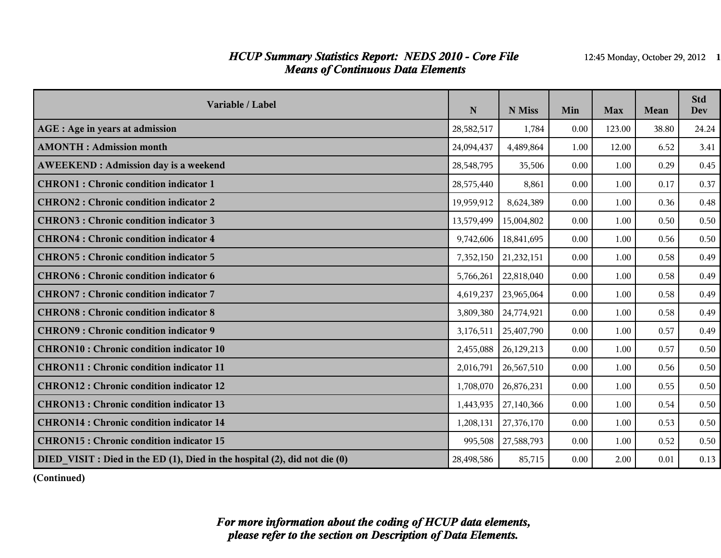### *HCUP Summary Statistics Report: NEDS 2010 - Core File* 12:45 Monday, October 29, 2012 1 *Means of Continuous Data Elements*

| Variable / Label                                                           | $\mathbf N$ | N Miss     | Min  | <b>Max</b> | <b>Mean</b> | <b>Std</b><br><b>Dev</b> |
|----------------------------------------------------------------------------|-------------|------------|------|------------|-------------|--------------------------|
| AGE : Age in years at admission                                            | 28,582,517  | 1,784      | 0.00 | 123.00     | 38.80       | 24.24                    |
| <b>AMONTH</b> : Admission month                                            | 24,094,437  | 4,489,864  | 1.00 | 12.00      | 6.52        | 3.41                     |
| <b>AWEEKEND: Admission day is a weekend</b>                                | 28,548,795  | 35,506     | 0.00 | 1.00       | 0.29        | 0.45                     |
| <b>CHRON1</b> : Chronic condition indicator 1                              | 28,575,440  | 8,861      | 0.00 | 1.00       | 0.17        | 0.37                     |
| <b>CHRON2: Chronic condition indicator 2</b>                               | 19,959,912  | 8,624,389  | 0.00 | 1.00       | 0.36        | 0.48                     |
| <b>CHRON3: Chronic condition indicator 3</b>                               | 13,579,499  | 15,004,802 | 0.00 | 1.00       | 0.50        | 0.50                     |
| <b>CHRON4</b> : Chronic condition indicator 4                              | 9,742,606   | 18,841,695 | 0.00 | 1.00       | 0.56        | 0.50                     |
| <b>CHRON5: Chronic condition indicator 5</b>                               | 7,352,150   | 21,232,151 | 0.00 | 1.00       | 0.58        | 0.49                     |
| <b>CHRON6: Chronic condition indicator 6</b>                               | 5,766,261   | 22,818,040 | 0.00 | 1.00       | 0.58        | 0.49                     |
| <b>CHRON7: Chronic condition indicator 7</b>                               | 4,619,237   | 23,965,064 | 0.00 | 1.00       | 0.58        | 0.49                     |
| <b>CHRON8</b> : Chronic condition indicator 8                              | 3,809,380   | 24,774,921 | 0.00 | 1.00       | 0.58        | 0.49                     |
| <b>CHRON9: Chronic condition indicator 9</b>                               | 3,176,511   | 25,407,790 | 0.00 | 1.00       | 0.57        | 0.49                     |
| <b>CHRON10: Chronic condition indicator 10</b>                             | 2,455,088   | 26,129,213 | 0.00 | 1.00       | 0.57        | 0.50                     |
| <b>CHRON11: Chronic condition indicator 11</b>                             | 2,016,791   | 26,567,510 | 0.00 | 1.00       | 0.56        | 0.50                     |
| CHRON12 : Chronic condition indicator 12                                   | 1,708,070   | 26,876,231 | 0.00 | 1.00       | 0.55        | 0.50                     |
| <b>CHRON13: Chronic condition indicator 13</b>                             | 1,443,935   | 27,140,366 | 0.00 | 1.00       | 0.54        | 0.50                     |
| <b>CHRON14: Chronic condition indicator 14</b>                             | 1,208,131   | 27,376,170 | 0.00 | 1.00       | 0.53        | 0.50                     |
| <b>CHRON15: Chronic condition indicator 15</b>                             | 995,508     | 27,588,793 | 0.00 | 1.00       | 0.52        | 0.50                     |
| DIED VISIT : Died in the ED (1), Died in the hospital (2), did not die (0) | 28,498,586  | 85,715     | 0.00 | 2.00       | 0.01        | 0.13                     |

**(Continued)**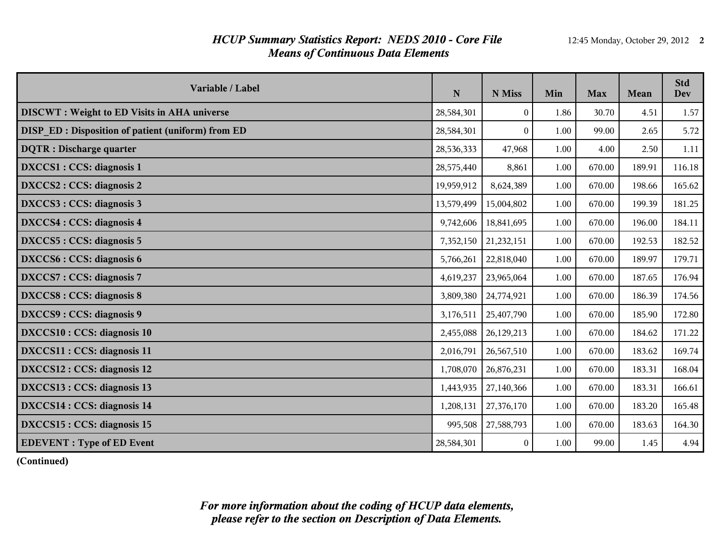## *HCUP Summary Statistics Report: NEDS 2010 - Core File* 12:45 Monday, October 29, 2012 2 *Means of Continuous Data Elements*

| Variable / Label                                         | N          | N Miss     | Min  | <b>Max</b> | Mean   | <b>Std</b><br><b>Dev</b> |
|----------------------------------------------------------|------------|------------|------|------------|--------|--------------------------|
| <b>DISCWT</b> : Weight to ED Visits in AHA universe      | 28,584,301 | $\theta$   | 1.86 | 30.70      | 4.51   | 1.57                     |
| <b>DISP ED: Disposition of patient (uniform) from ED</b> | 28,584,301 | $\theta$   | 1.00 | 99.00      | 2.65   | 5.72                     |
| <b>DQTR</b> : Discharge quarter                          | 28,536,333 | 47,968     | 1.00 | 4.00       | 2.50   | 1.11                     |
| DXCCS1 : CCS: diagnosis 1                                | 28,575,440 | 8,861      | 1.00 | 670.00     | 189.91 | 116.18                   |
| DXCCS2 : CCS: diagnosis 2                                | 19,959,912 | 8,624,389  | 1.00 | 670.00     | 198.66 | 165.62                   |
| DXCCS3 : CCS: diagnosis 3                                | 13,579,499 | 15,004,802 | 1.00 | 670.00     | 199.39 | 181.25                   |
| DXCCS4 : CCS: diagnosis 4                                | 9,742,606  | 18,841,695 | 1.00 | 670.00     | 196.00 | 184.11                   |
| DXCCS5 : CCS: diagnosis 5                                | 7,352,150  | 21,232,151 | 1.00 | 670.00     | 192.53 | 182.52                   |
| DXCCS6 : CCS: diagnosis 6                                | 5,766,261  | 22,818,040 | 1.00 | 670.00     | 189.97 | 179.71                   |
| DXCCS7: CCS: diagnosis 7                                 | 4,619,237  | 23,965,064 | 1.00 | 670.00     | 187.65 | 176.94                   |
| DXCCS8 : CCS: diagnosis 8                                | 3,809,380  | 24,774,921 | 1.00 | 670.00     | 186.39 | 174.56                   |
| DXCCS9 : CCS: diagnosis 9                                | 3,176,511  | 25,407,790 | 1.00 | 670.00     | 185.90 | 172.80                   |
| DXCCS10 : CCS: diagnosis 10                              | 2,455,088  | 26,129,213 | 1.00 | 670.00     | 184.62 | 171.22                   |
| DXCCS11 : CCS: diagnosis 11                              | 2,016,791  | 26,567,510 | 1.00 | 670.00     | 183.62 | 169.74                   |
| DXCCS12 : CCS: diagnosis 12                              | 1,708,070  | 26,876,231 | 1.00 | 670.00     | 183.31 | 168.04                   |
| DXCCS13 : CCS: diagnosis 13                              | 1,443,935  | 27,140,366 | 1.00 | 670.00     | 183.31 | 166.61                   |
| DXCCS14 : CCS: diagnosis 14                              | 1,208,131  | 27,376,170 | 1.00 | 670.00     | 183.20 | 165.48                   |
| DXCCS15 : CCS: diagnosis 15                              | 995,508    | 27,588,793 | 1.00 | 670.00     | 183.63 | 164.30                   |
| <b>EDEVENT</b> : Type of ED Event                        | 28,584,301 | $\theta$   | 1.00 | 99.00      | 1.45   | 4.94                     |

**(Continued)**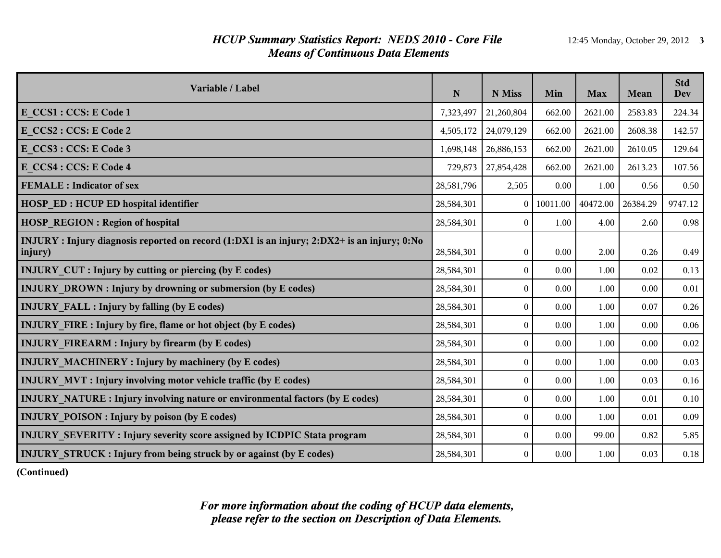### *HCUP Summary Statistics Report: NEDS 2010 - Core File* 12:45 Monday, October 29, 2012 3 *Means of Continuous Data Elements*

| Variable / Label                                                                                       | $\mathbf N$ | N Miss           | Min      | <b>Max</b> | Mean     | <b>Std</b><br><b>Dev</b> |
|--------------------------------------------------------------------------------------------------------|-------------|------------------|----------|------------|----------|--------------------------|
| E CCS1 : CCS: E Code 1                                                                                 | 7,323,497   | 21,260,804       | 662.00   | 2621.00    | 2583.83  | 224.34                   |
| E CCS2 : CCS: E Code 2                                                                                 | 4,505,172   | 24,079,129       | 662.00   | 2621.00    | 2608.38  | 142.57                   |
| E CCS3 : CCS: E Code 3                                                                                 | 1,698,148   | 26,886,153       | 662.00   | 2621.00    | 2610.05  | 129.64                   |
| E CCS4 : CCS: E Code 4                                                                                 | 729,873     | 27,854,428       | 662.00   | 2621.00    | 2613.23  | 107.56                   |
| <b>FEMALE</b> : Indicator of sex                                                                       | 28,581,796  | 2,505            | 0.00     | 1.00       | 0.56     | 0.50                     |
| <b>HOSP ED: HCUP ED hospital identifier</b>                                                            | 28,584,301  | $\Omega$         | 10011.00 | 40472.00   | 26384.29 | 9747.12                  |
| <b>HOSP REGION: Region of hospital</b>                                                                 | 28,584,301  | $\theta$         | 1.00     | 4.00       | 2.60     | 0.98                     |
| INJURY : Injury diagnosis reported on record (1:DX1 is an injury; 2:DX2+ is an injury; 0:No<br>injury) | 28,584,301  | $\boldsymbol{0}$ | 0.00     | 2.00       | 0.26     | 0.49                     |
| <b>INJURY CUT : Injury by cutting or piercing (by E codes)</b>                                         | 28,584,301  | $\boldsymbol{0}$ | 0.00     | 1.00       | 0.02     | 0.13                     |
| <b>INJURY DROWN:</b> Injury by drowning or submersion (by E codes)                                     | 28,584,301  | $\mathbf{0}$     | 0.00     | 1.00       | 0.00     | 0.01                     |
| <b>INJURY FALL : Injury by falling (by E codes)</b>                                                    | 28,584,301  | $\boldsymbol{0}$ | 0.00     | 1.00       | 0.07     | 0.26                     |
| <b>INJURY FIRE: Injury by fire, flame or hot object (by E codes)</b>                                   | 28,584,301  | $\mathbf{0}$     | 0.00     | 1.00       | 0.00     | 0.06                     |
| <b>INJURY FIREARM : Injury by firearm (by E codes)</b>                                                 | 28,584,301  | $\boldsymbol{0}$ | 0.00     | 1.00       | 0.00     | 0.02                     |
| <b>INJURY MACHINERY: Injury by machinery (by E codes)</b>                                              | 28,584,301  | $\theta$         | 0.00     | 1.00       | 0.00     | 0.03                     |
| <b>INJURY MVT: Injury involving motor vehicle traffic (by E codes)</b>                                 | 28,584,301  | $\boldsymbol{0}$ | 0.00     | 1.00       | 0.03     | 0.16                     |
| <b>INJURY NATURE:</b> Injury involving nature or environmental factors (by E codes)                    | 28,584,301  | $\mathbf{0}$     | 0.00     | 1.00       | 0.01     | 0.10                     |
| <b>INJURY POISON : Injury by poison (by E codes)</b>                                                   | 28,584,301  | $\boldsymbol{0}$ | 0.00     | 1.00       | 0.01     | 0.09                     |
| <b>INJURY SEVERITY: Injury severity score assigned by ICDPIC Stata program</b>                         | 28,584,301  | $\boldsymbol{0}$ | 0.00     | 99.00      | 0.82     | 5.85                     |
| <b>INJURY STRUCK: Injury from being struck by or against (by E codes)</b>                              | 28,584,301  | $\theta$         | 0.00     | 1.00       | 0.03     | 0.18                     |

**(Continued)**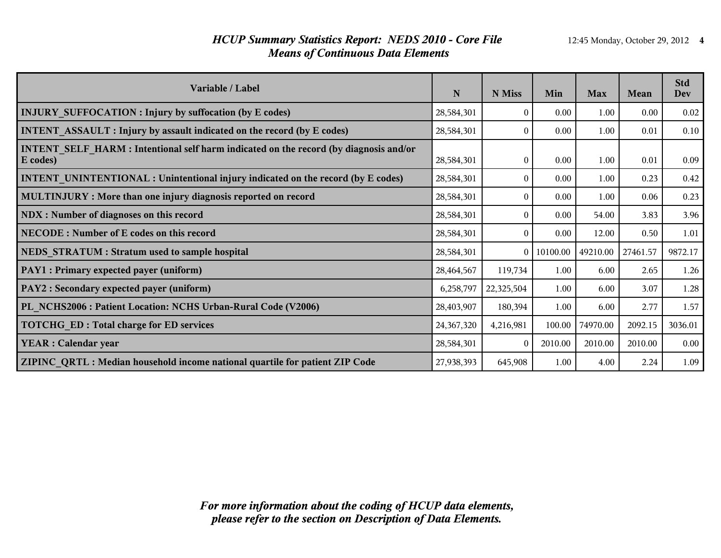### *HCUP Summary Statistics Report: NEDS 2010 - Core File* 12:45 Monday, October 29, 2012 4 *Means of Continuous Data Elements*

| Variable / Label                                                                                  | N            | N Miss     | Min      | <b>Max</b> | <b>Mean</b> | <b>Std</b><br>Dev |
|---------------------------------------------------------------------------------------------------|--------------|------------|----------|------------|-------------|-------------------|
| <b>INJURY SUFFOCATION : Injury by suffocation (by E codes)</b>                                    | 28,584,301   | $\Omega$   | 0.00     | 1.00       | 0.00        | 0.02              |
| <b>INTENT ASSAULT : Injury by assault indicated on the record (by E codes)</b>                    | 28,584,301   | $\theta$   | 0.00     | 1.00       | 0.01        | 0.10              |
| INTENT SELF HARM : Intentional self harm indicated on the record (by diagnosis and/or<br>E codes) | 28,584,301   | $\Omega$   | 0.00     | 1.00       | 0.01        | 0.09              |
| <b>INTENT UNINTENTIONAL : Unintentional injury indicated on the record (by E codes)</b>           | 28,584,301   | $\Omega$   | 0.00     | 1.00       | 0.23        | 0.42              |
| MULTINJURY: More than one injury diagnosis reported on record                                     | 28,584,301   | $\Omega$   | 0.00     | 1.00       | 0.06        | 0.23              |
| NDX : Number of diagnoses on this record                                                          | 28,584,301   | $\theta$   | 0.00     | 54.00      | 3.83        | 3.96              |
| NECODE: Number of E codes on this record                                                          | 28,584,301   | $\Omega$   | 0.00     | 12.00      | 0.50        | 1.01              |
| NEDS STRATUM : Stratum used to sample hospital                                                    | 28,584,301   | $\theta$   | 10100.00 | 49210.00   | 27461.57    | 9872.17           |
| <b>PAY1</b> : Primary expected payer (uniform)                                                    | 28,464,567   | 119,734    | 1.00     | 6.00       | 2.65        | 1.26              |
| <b>PAY2</b> : Secondary expected payer (uniform)                                                  | 6,258,797    | 22,325,504 | 1.00     | 6.00       | 3.07        | 1.28              |
| PL NCHS2006 : Patient Location: NCHS Urban-Rural Code (V2006)                                     | 28,403,907   | 180,394    | 1.00     | 6.00       | 2.77        | 1.57              |
| <b>TOTCHG ED: Total charge for ED services</b>                                                    | 24, 367, 320 | 4,216,981  | 100.00   | 74970.00   | 2092.15     | 3036.01           |
| <b>YEAR</b> : Calendar year                                                                       | 28,584,301   | $\theta$   | 2010.00  | 2010.00    | 2010.00     | 0.00              |
| ZIPINC QRTL: Median household income national quartile for patient ZIP Code                       | 27,938,393   | 645,908    | 1.00     | 4.00       | 2.24        | 1.09              |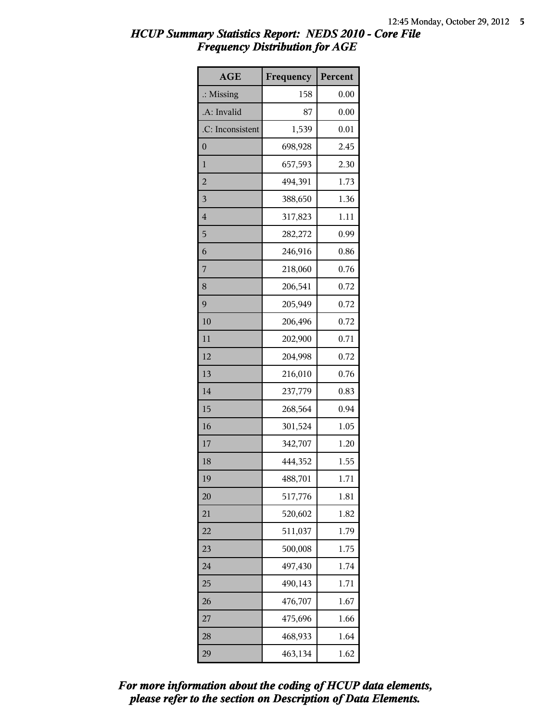| <b>AGE</b>           | Frequency | Percent |
|----------------------|-----------|---------|
| $\therefore$ Missing | 158       | 0.00    |
| A: Invalid           | 87        | 0.00    |
| .C: Inconsistent     | 1,539     | 0.01    |
| $\boldsymbol{0}$     | 698,928   | 2.45    |
| $\mathbf{1}$         | 657,593   | 2.30    |
| $\overline{c}$       | 494,391   | 1.73    |
| 3                    | 388,650   | 1.36    |
| $\overline{4}$       | 317,823   | 1.11    |
| 5                    | 282,272   | 0.99    |
| 6                    | 246,916   | 0.86    |
| 7                    | 218,060   | 0.76    |
| 8                    | 206,541   | 0.72    |
| 9                    | 205,949   | 0.72    |
| 10                   | 206,496   | 0.72    |
| 11                   | 202,900   | 0.71    |
| 12                   | 204,998   | 0.72    |
| 13                   | 216,010   | 0.76    |
| 14                   | 237,779   | 0.83    |
| 15                   | 268,564   | 0.94    |
| 16                   | 301,524   | 1.05    |
| 17                   | 342,707   | 1.20    |
| 18                   | 444,352   | 1.55    |
| 19                   | 488,701   | 1.71    |
| 20                   | 517,776   | 1.81    |
| 21                   | 520,602   | 1.82    |
| 22                   | 511,037   | 1.79    |
| 23                   | 500,008   | 1.75    |
| 24                   | 497,430   | 1.74    |
| 25                   | 490,143   | 1.71    |
| 26                   | 476,707   | 1.67    |
| 27                   | 475,696   | 1.66    |
| 28                   | 468,933   | 1.64    |
| 29                   | 463,134   | 1.62    |

*please refer to the section on Description of Data Elements. For more information about the coding of HCUP data elements,*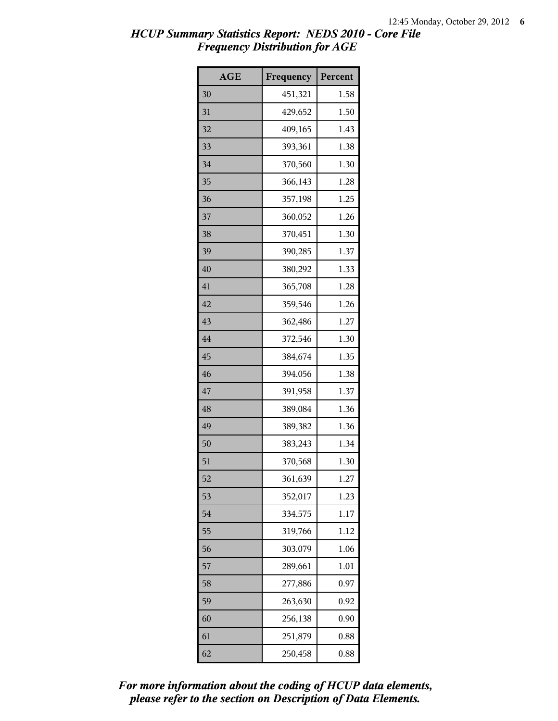| <b>AGE</b> | Frequency | Percent |
|------------|-----------|---------|
| 30         | 451,321   | 1.58    |
| 31         | 429,652   | 1.50    |
| 32         | 409,165   | 1.43    |
| 33         | 393,361   | 1.38    |
| 34         | 370,560   | 1.30    |
| 35         | 366,143   | 1.28    |
| 36         | 357,198   | 1.25    |
| 37         | 360,052   | 1.26    |
| 38         | 370,451   | 1.30    |
| 39         | 390,285   | 1.37    |
| 40         | 380,292   | 1.33    |
| 41         | 365,708   | 1.28    |
| 42         | 359,546   | 1.26    |
| 43         | 362,486   | 1.27    |
| 44         | 372,546   | 1.30    |
| 45         | 384,674   | 1.35    |
| 46         | 394,056   | 1.38    |
| 47         | 391,958   | 1.37    |
| 48         | 389,084   | 1.36    |
| 49         | 389,382   | 1.36    |
| 50         | 383,243   | 1.34    |
| 51         | 370,568   | 1.30    |
| 52         | 361,639   | 1.27    |
| 53         | 352,017   | 1.23    |
| 54         | 334,575   | 1.17    |
| 55         | 319,766   | 1.12    |
| 56         | 303,079   | 1.06    |
| 57         | 289,661   | 1.01    |
| 58         | 277,886   | 0.97    |
| 59         | 263,630   | 0.92    |
| 60         | 256,138   | 0.90    |
| 61         | 251,879   | 0.88    |
| 62         | 250,458   | 0.88    |

*please refer to the section on Description of Data Elements. For more information about the coding of HCUP data elements,*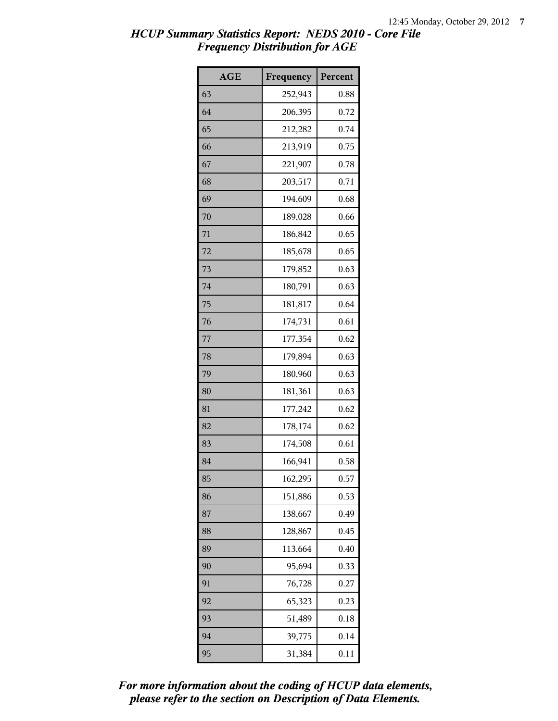| <b>AGE</b> | Frequency | Percent |
|------------|-----------|---------|
| 63         | 252,943   | 0.88    |
| 64         | 206,395   | 0.72    |
| 65         | 212,282   | 0.74    |
| 66         | 213,919   | 0.75    |
| 67         | 221,907   | 0.78    |
| 68         | 203,517   | 0.71    |
| 69         | 194,609   | 0.68    |
| 70         | 189,028   | 0.66    |
| 71         | 186,842   | 0.65    |
| 72         | 185,678   | 0.65    |
| 73         | 179,852   | 0.63    |
| 74         | 180,791   | 0.63    |
| 75         | 181,817   | 0.64    |
| 76         | 174,731   | 0.61    |
| 77         | 177,354   | 0.62    |
| 78         | 179,894   | 0.63    |
| 79         | 180,960   | 0.63    |
| 80         | 181,361   | 0.63    |
| 81         | 177,242   | 0.62    |
| 82         | 178,174   | 0.62    |
| 83         | 174,508   | 0.61    |
| 84         | 166,941   | 0.58    |
| 85         | 162,295   | 0.57    |
| 86         | 151,886   | 0.53    |
| 87         | 138,667   | 0.49    |
| 88         | 128,867   | 0.45    |
| 89         | 113,664   | 0.40    |
| 90         | 95,694    | 0.33    |
| 91         | 76,728    | 0.27    |
| 92         | 65,323    | 0.23    |
| 93         | 51,489    | 0.18    |
| 94         | 39,775    | 0.14    |
| 95         | 31,384    | 0.11    |

*please refer to the section on Description of Data Elements. For more information about the coding of HCUP data elements,*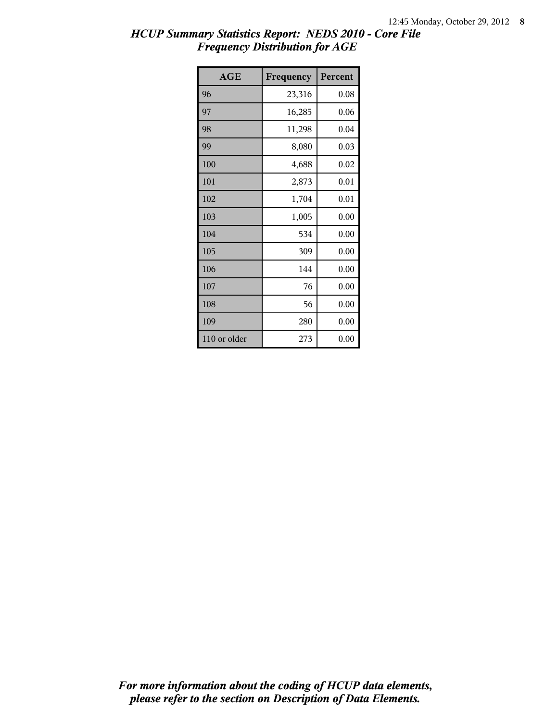| <b>AGE</b>   | Frequency | Percent |
|--------------|-----------|---------|
| 96           | 23,316    | 0.08    |
| 97           | 16,285    | 0.06    |
| 98           | 11,298    | 0.04    |
| 99           | 8,080     | 0.03    |
| 100          | 4,688     | 0.02    |
| 101          | 2,873     | 0.01    |
| 102          | 1,704     | 0.01    |
| 103          | 1,005     | 0.00    |
| 104          | 534       | 0.00    |
| 105          | 309       | 0.00    |
| 106          | 144       | 0.00    |
| 107          | 76        | 0.00    |
| 108          | 56        | 0.00    |
| 109          | 280       | 0.00    |
| 110 or older | 273       | 0.00    |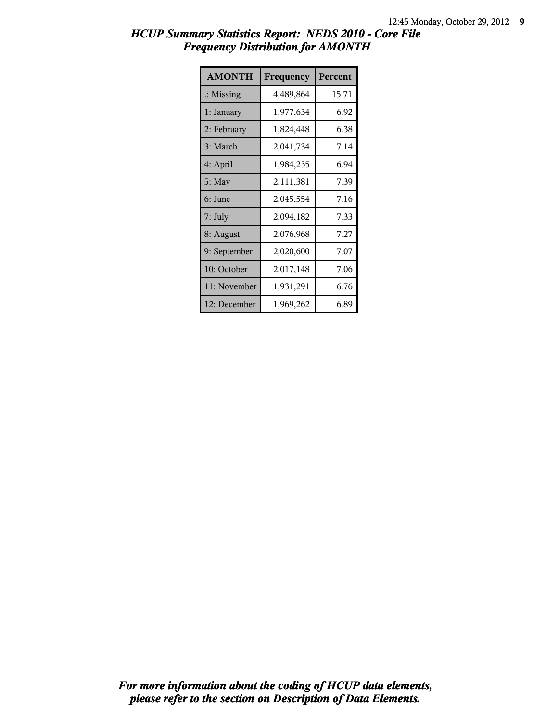| <b>AMONTH</b>        | Frequency | Percent |
|----------------------|-----------|---------|
| $\therefore$ Missing | 4,489,864 | 15.71   |
| 1: January           | 1,977,634 | 6.92    |
| 2: February          | 1,824,448 | 6.38    |
| 3: March             | 2,041,734 | 7.14    |
| 4: April             | 1,984,235 | 6.94    |
| 5: May               | 2,111,381 | 7.39    |
| 6: June              | 2,045,554 | 7.16    |
| $7:$ July            | 2,094,182 | 7.33    |
| 8: August            | 2,076,968 | 7.27    |
| 9: September         | 2,020,600 | 7.07    |
| 10: October          | 2,017,148 | 7.06    |
| 11: November         | 1,931,291 | 6.76    |
| 12: December         | 1,969,262 | 6.89    |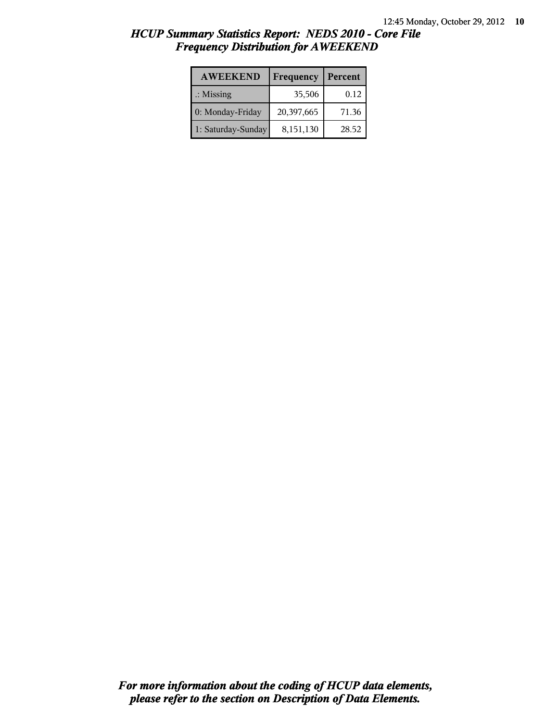| <b>AWEEKEND</b>      | Frequency  | Percent |
|----------------------|------------|---------|
| $\therefore$ Missing | 35,506     | 0.12    |
| 0: Monday-Friday     | 20,397,665 | 71.36   |
| 1: Saturday-Sunday   | 8,151,130  | 28.52   |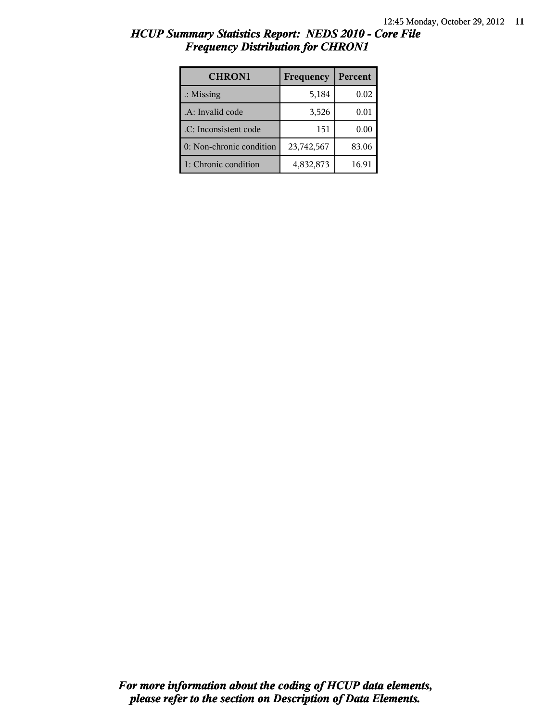| <b>CHRON1</b>            | Frequency  | Percent |
|--------------------------|------------|---------|
| $\therefore$ Missing     | 5,184      | 0.02    |
| .A: Invalid code         | 3,526      | 0.01    |
| .C: Inconsistent code    | 151        | 0.00    |
| 0: Non-chronic condition | 23,742,567 | 83.06   |
| 1: Chronic condition     | 4,832,873  | 16.91   |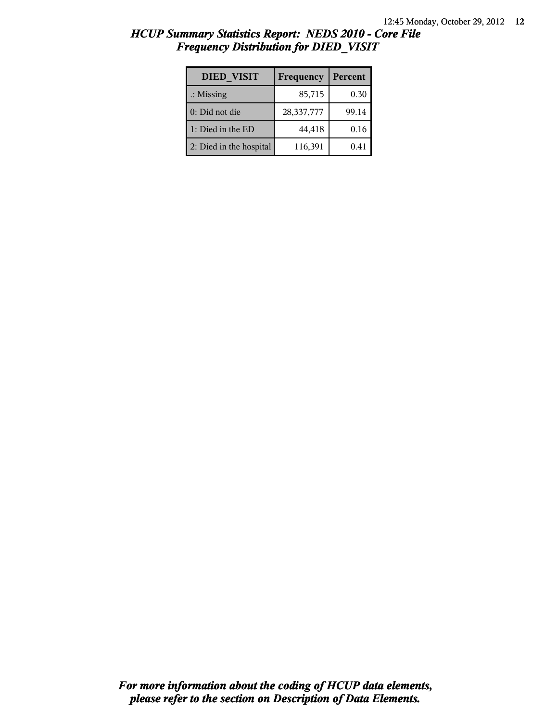| <b>DIED VISIT</b>       | Frequency  | Percent |
|-------------------------|------------|---------|
| $\therefore$ Missing    | 85,715     | 0.30    |
| 0: Did not die          | 28,337,777 | 99.14   |
| 1: Died in the ED       | 44,418     | 0.16    |
| 2: Died in the hospital | 116,391    | 0.41    |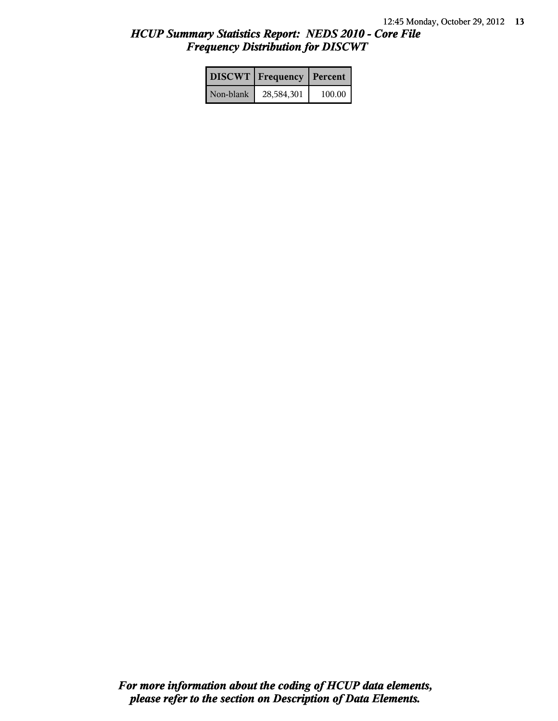|           | <b>DISCWT</b> Frequency | Percent |
|-----------|-------------------------|---------|
| Non-blank | 28,584,301              | 100.00  |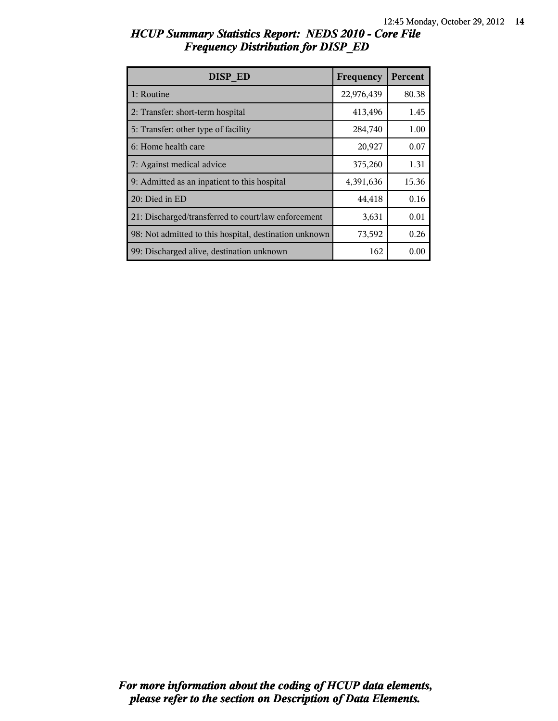| DISP ED                                                | Frequency  | Percent |
|--------------------------------------------------------|------------|---------|
| 1: Routine                                             | 22,976,439 | 80.38   |
| 2: Transfer: short-term hospital                       | 413,496    | 1.45    |
| 5: Transfer: other type of facility                    | 284,740    | 1.00    |
| 6: Home health care                                    | 20,927     | 0.07    |
| 7: Against medical advice                              | 375,260    | 1.31    |
| 9: Admitted as an inpatient to this hospital           | 4,391,636  | 15.36   |
| 20: Died in ED                                         | 44,418     | 0.16    |
| 21: Discharged/transferred to court/law enforcement    | 3,631      | 0.01    |
| 98: Not admitted to this hospital, destination unknown | 73,592     | 0.26    |
| 99: Discharged alive, destination unknown              | 162        | 0.00    |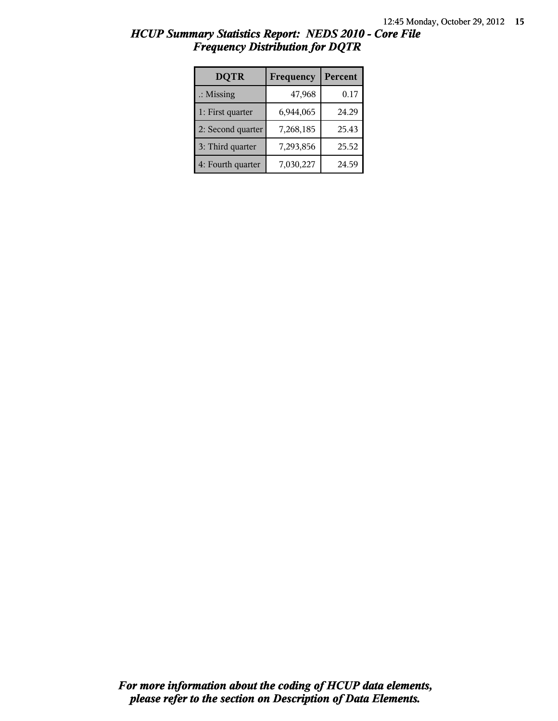| <b>DQTR</b>          | Frequency | Percent |
|----------------------|-----------|---------|
| $\therefore$ Missing | 47,968    | 0.17    |
| 1: First quarter     | 6,944,065 | 24.29   |
| 2: Second quarter    | 7,268,185 | 25.43   |
| 3: Third quarter     | 7,293,856 | 25.52   |
| 4: Fourth quarter    | 7,030,227 | 24.59   |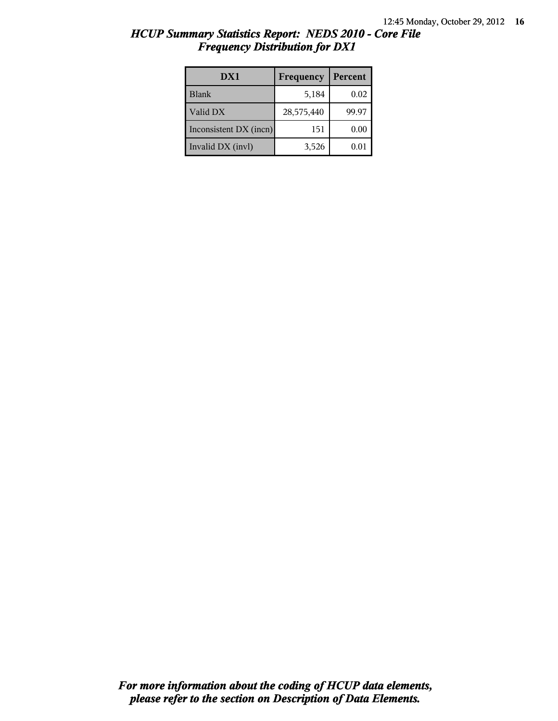| HCUP Summary Statistics Report: NEDS 2010 - Core File |  |
|-------------------------------------------------------|--|
| <b>Frequency Distribution for DX1</b>                 |  |

| DX1                    | Frequency  | Percent |
|------------------------|------------|---------|
| <b>Blank</b>           | 5,184      | 0.02    |
| Valid DX               | 28,575,440 | 99.97   |
| Inconsistent DX (incn) | 151        | 0.00    |
| Invalid DX (invl)      | 3,526      | 0.01    |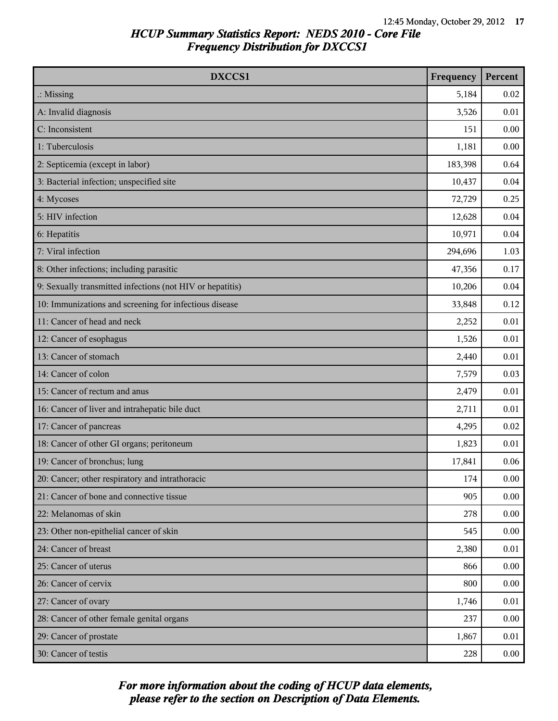| DXCCS1                                                    | Frequency | Percent  |
|-----------------------------------------------------------|-----------|----------|
| $\therefore$ Missing                                      | 5,184     | 0.02     |
| A: Invalid diagnosis                                      | 3,526     | 0.01     |
| C: Inconsistent                                           | 151       | 0.00     |
| 1: Tuberculosis                                           | 1,181     | 0.00     |
| 2: Septicemia (except in labor)                           | 183,398   | 0.64     |
| 3: Bacterial infection; unspecified site                  | 10,437    | 0.04     |
| 4: Mycoses                                                | 72,729    | 0.25     |
| 5: HIV infection                                          | 12,628    | 0.04     |
| 6: Hepatitis                                              | 10,971    | 0.04     |
| 7: Viral infection                                        | 294,696   | 1.03     |
| 8: Other infections; including parasitic                  | 47,356    | 0.17     |
| 9: Sexually transmitted infections (not HIV or hepatitis) | 10,206    | 0.04     |
| 10: Immunizations and screening for infectious disease    | 33,848    | 0.12     |
| 11: Cancer of head and neck                               | 2,252     | 0.01     |
| 12: Cancer of esophagus                                   | 1,526     | 0.01     |
| 13: Cancer of stomach                                     | 2,440     | 0.01     |
| 14: Cancer of colon                                       | 7,579     | 0.03     |
| 15: Cancer of rectum and anus                             | 2,479     | 0.01     |
| 16: Cancer of liver and intrahepatic bile duct            | 2,711     | 0.01     |
| 17: Cancer of pancreas                                    | 4,295     | 0.02     |
| 18: Cancer of other GI organs; peritoneum                 | 1,823     | 0.01     |
| 19: Cancer of bronchus; lung                              | 17,841    | 0.06     |
| 20: Cancer; other respiratory and intrathoracic           | 174       | 0.00     |
| 21: Cancer of bone and connective tissue                  | 905       | 0.00     |
| 22: Melanomas of skin                                     | 278       | 0.00     |
| 23: Other non-epithelial cancer of skin                   | 545       | 0.00     |
| 24: Cancer of breast                                      | 2,380     | 0.01     |
| 25: Cancer of uterus                                      | 866       | 0.00     |
| 26: Cancer of cervix                                      | 800       | 0.00     |
| 27: Cancer of ovary                                       | 1,746     | 0.01     |
| 28: Cancer of other female genital organs                 | 237       | 0.00     |
| 29: Cancer of prostate                                    | 1,867     | 0.01     |
| 30: Cancer of testis                                      | 228       | $0.00\,$ |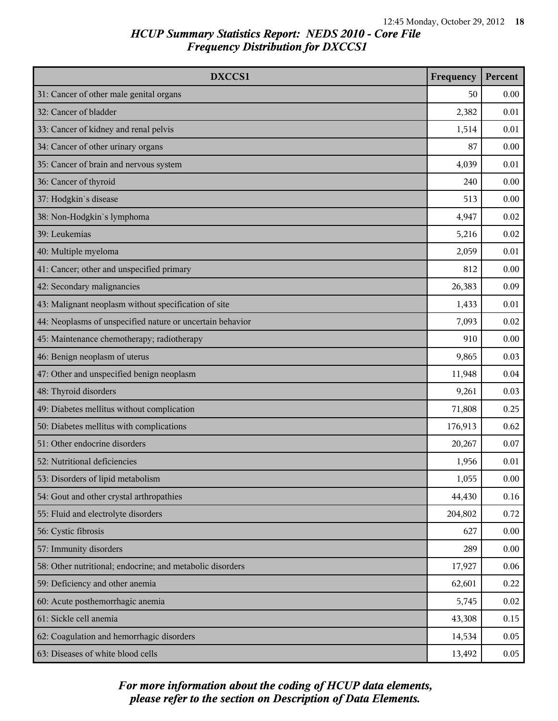| DXCCS1                                                    | Frequency | Percent |
|-----------------------------------------------------------|-----------|---------|
| 31: Cancer of other male genital organs                   | 50        | 0.00    |
| 32: Cancer of bladder                                     | 2,382     | 0.01    |
| 33: Cancer of kidney and renal pelvis                     | 1,514     | 0.01    |
| 34: Cancer of other urinary organs                        | 87        | 0.00    |
| 35: Cancer of brain and nervous system                    | 4,039     | 0.01    |
| 36: Cancer of thyroid                                     | 240       | 0.00    |
| 37: Hodgkin's disease                                     | 513       | 0.00    |
| 38: Non-Hodgkin's lymphoma                                | 4,947     | 0.02    |
| 39: Leukemias                                             | 5,216     | 0.02    |
| 40: Multiple myeloma                                      | 2,059     | 0.01    |
| 41: Cancer; other and unspecified primary                 | 812       | 0.00    |
| 42: Secondary malignancies                                | 26,383    | 0.09    |
| 43: Malignant neoplasm without specification of site      | 1,433     | 0.01    |
| 44: Neoplasms of unspecified nature or uncertain behavior | 7,093     | 0.02    |
| 45: Maintenance chemotherapy; radiotherapy                | 910       | 0.00    |
| 46: Benign neoplasm of uterus                             | 9,865     | 0.03    |
| 47: Other and unspecified benign neoplasm                 | 11,948    | 0.04    |
| 48: Thyroid disorders                                     | 9,261     | 0.03    |
| 49: Diabetes mellitus without complication                | 71,808    | 0.25    |
| 50: Diabetes mellitus with complications                  | 176,913   | 0.62    |
| 51: Other endocrine disorders                             | 20,267    | 0.07    |
| 52: Nutritional deficiencies                              | 1,956     | 0.01    |
| 53: Disorders of lipid metabolism                         | 1,055     | 0.00    |
| 54: Gout and other crystal arthropathies                  | 44,430    | 0.16    |
| 55: Fluid and electrolyte disorders                       | 204,802   | 0.72    |
| 56: Cystic fibrosis                                       | 627       | 0.00    |
| 57: Immunity disorders                                    | 289       | 0.00    |
| 58: Other nutritional; endocrine; and metabolic disorders | 17,927    | 0.06    |
| 59: Deficiency and other anemia                           | 62,601    | 0.22    |
| 60: Acute posthemorrhagic anemia                          | 5,745     | 0.02    |
| 61: Sickle cell anemia                                    | 43,308    | 0.15    |
| 62: Coagulation and hemorrhagic disorders                 | 14,534    | 0.05    |
| 63: Diseases of white blood cells                         | 13,492    | 0.05    |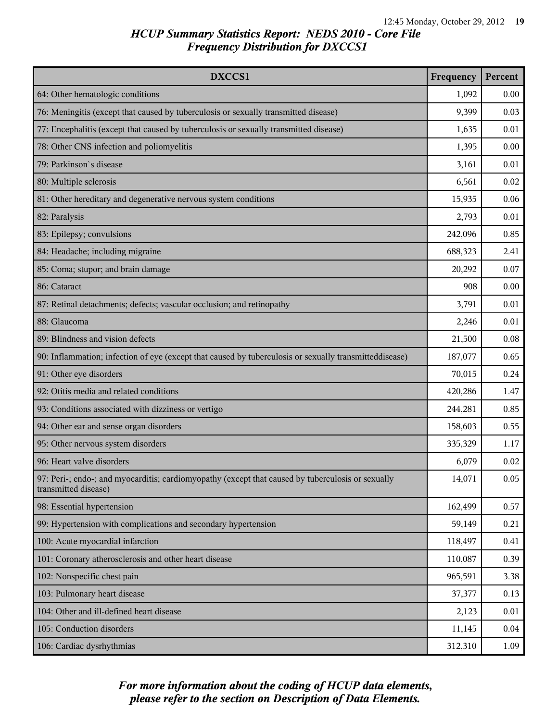| DXCCS1                                                                                                                    | Frequency | Percent |
|---------------------------------------------------------------------------------------------------------------------------|-----------|---------|
| 64: Other hematologic conditions                                                                                          | 1,092     | 0.00    |
| 76: Meningitis (except that caused by tuberculosis or sexually transmitted disease)                                       | 9,399     | 0.03    |
| 77: Encephalitis (except that caused by tuberculosis or sexually transmitted disease)                                     | 1,635     | 0.01    |
| 78: Other CNS infection and poliomyelitis                                                                                 | 1,395     | 0.00    |
| 79: Parkinson's disease                                                                                                   | 3,161     | 0.01    |
| 80: Multiple sclerosis                                                                                                    | 6,561     | 0.02    |
| 81: Other hereditary and degenerative nervous system conditions                                                           | 15,935    | 0.06    |
| 82: Paralysis                                                                                                             | 2,793     | 0.01    |
| 83: Epilepsy; convulsions                                                                                                 | 242,096   | 0.85    |
| 84: Headache; including migraine                                                                                          | 688,323   | 2.41    |
| 85: Coma; stupor; and brain damage                                                                                        | 20,292    | 0.07    |
| 86: Cataract                                                                                                              | 908       | 0.00    |
| 87: Retinal detachments; defects; vascular occlusion; and retinopathy                                                     | 3,791     | 0.01    |
| 88: Glaucoma                                                                                                              | 2,246     | 0.01    |
| 89: Blindness and vision defects                                                                                          | 21,500    | 0.08    |
| 90: Inflammation; infection of eye (except that caused by tuberculosis or sexually transmitteddisease)                    | 187,077   | 0.65    |
| 91: Other eye disorders                                                                                                   | 70,015    | 0.24    |
| 92: Otitis media and related conditions                                                                                   | 420,286   | 1.47    |
| 93: Conditions associated with dizziness or vertigo                                                                       | 244,281   | 0.85    |
| 94: Other ear and sense organ disorders                                                                                   | 158,603   | 0.55    |
| 95: Other nervous system disorders                                                                                        | 335,329   | 1.17    |
| 96: Heart valve disorders                                                                                                 | 6,079     | 0.02    |
| 97: Peri-; endo-; and myocarditis; cardiomyopathy (except that caused by tuberculosis or sexually<br>transmitted disease) | 14,071    | 0.05    |
| 98: Essential hypertension                                                                                                | 162,499   | 0.57    |
| 99: Hypertension with complications and secondary hypertension                                                            | 59,149    | 0.21    |
| 100: Acute myocardial infarction                                                                                          | 118,497   | 0.41    |
| 101: Coronary atherosclerosis and other heart disease                                                                     | 110,087   | 0.39    |
| 102: Nonspecific chest pain                                                                                               | 965,591   | 3.38    |
| 103: Pulmonary heart disease                                                                                              | 37,377    | 0.13    |
| 104: Other and ill-defined heart disease                                                                                  | 2,123     | 0.01    |
| 105: Conduction disorders                                                                                                 | 11,145    | 0.04    |
| 106: Cardiac dysrhythmias                                                                                                 | 312,310   | 1.09    |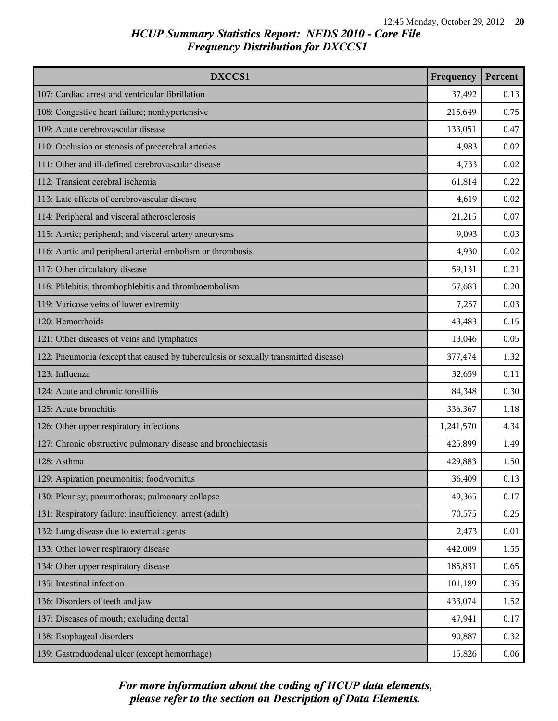| DXCCS1                                                                              | Frequency | Percent |
|-------------------------------------------------------------------------------------|-----------|---------|
| 107: Cardiac arrest and ventricular fibrillation                                    | 37,492    | 0.13    |
| 108: Congestive heart failure; nonhypertensive                                      | 215,649   | 0.75    |
| 109: Acute cerebrovascular disease                                                  | 133,051   | 0.47    |
| 110: Occlusion or stenosis of precerebral arteries                                  | 4,983     | 0.02    |
| 111: Other and ill-defined cerebrovascular disease                                  | 4,733     | 0.02    |
| 112: Transient cerebral ischemia                                                    | 61,814    | 0.22    |
| 113: Late effects of cerebrovascular disease                                        | 4,619     | 0.02    |
| 114: Peripheral and visceral atherosclerosis                                        | 21,215    | 0.07    |
| 115: Aortic; peripheral; and visceral artery aneurysms                              | 9,093     | 0.03    |
| 116: Aortic and peripheral arterial embolism or thrombosis                          | 4,930     | 0.02    |
| 117: Other circulatory disease                                                      | 59,131    | 0.21    |
| 118: Phlebitis; thrombophlebitis and thromboembolism                                | 57,683    | 0.20    |
| 119: Varicose veins of lower extremity                                              | 7,257     | 0.03    |
| 120: Hemorrhoids                                                                    | 43,483    | 0.15    |
| 121: Other diseases of veins and lymphatics                                         | 13,046    | 0.05    |
| 122: Pneumonia (except that caused by tuberculosis or sexually transmitted disease) | 377,474   | 1.32    |
| 123: Influenza                                                                      | 32,659    | 0.11    |
| 124: Acute and chronic tonsillitis                                                  | 84,348    | 0.30    |
| 125: Acute bronchitis                                                               | 336,367   | 1.18    |
| 126: Other upper respiratory infections                                             | 1,241,570 | 4.34    |
| 127: Chronic obstructive pulmonary disease and bronchiectasis                       | 425,899   | 1.49    |
| 128: Asthma                                                                         | 429,883   | 1.50    |
| 129: Aspiration pneumonitis; food/vomitus                                           | 36,409    | 0.13    |
| 130: Pleurisy; pneumothorax; pulmonary collapse                                     | 49,365    | 0.17    |
| 131: Respiratory failure; insufficiency; arrest (adult)                             | 70,575    | 0.25    |
| 132: Lung disease due to external agents                                            | 2,473     | 0.01    |
| 133: Other lower respiratory disease                                                | 442,009   | 1.55    |
| 134: Other upper respiratory disease                                                | 185,831   | 0.65    |
| 135: Intestinal infection                                                           | 101,189   | 0.35    |
| 136: Disorders of teeth and jaw                                                     | 433,074   | 1.52    |
| 137: Diseases of mouth; excluding dental                                            | 47,941    | 0.17    |
| 138: Esophageal disorders                                                           | 90,887    | 0.32    |
| 139: Gastroduodenal ulcer (except hemorrhage)                                       | 15,826    | 0.06    |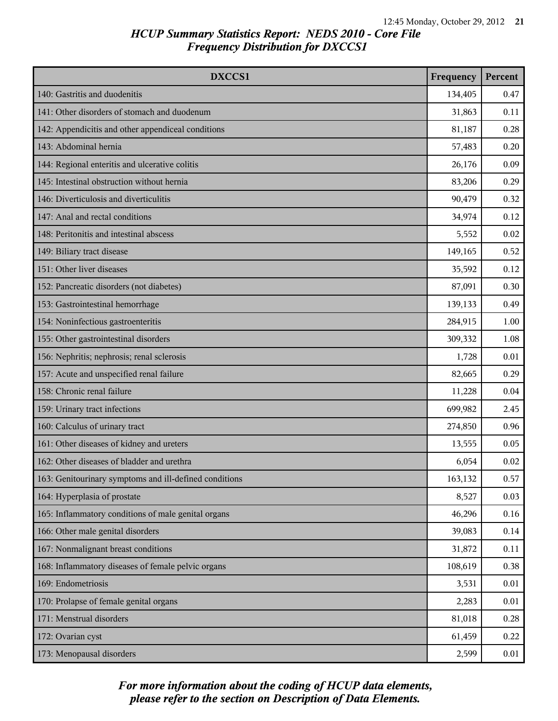| DXCCS1                                                 | Frequency | Percent |
|--------------------------------------------------------|-----------|---------|
| 140: Gastritis and duodenitis                          | 134,405   | 0.47    |
| 141: Other disorders of stomach and duodenum           | 31,863    | 0.11    |
| 142: Appendicitis and other appendiceal conditions     | 81,187    | 0.28    |
| 143: Abdominal hernia                                  | 57,483    | 0.20    |
| 144: Regional enteritis and ulcerative colitis         | 26,176    | 0.09    |
| 145: Intestinal obstruction without hernia             | 83,206    | 0.29    |
| 146: Diverticulosis and diverticulitis                 | 90,479    | 0.32    |
| 147: Anal and rectal conditions                        | 34,974    | 0.12    |
| 148: Peritonitis and intestinal abscess                | 5,552     | 0.02    |
| 149: Biliary tract disease                             | 149,165   | 0.52    |
| 151: Other liver diseases                              | 35,592    | 0.12    |
| 152: Pancreatic disorders (not diabetes)               | 87,091    | 0.30    |
| 153: Gastrointestinal hemorrhage                       | 139,133   | 0.49    |
| 154: Noninfectious gastroenteritis                     | 284,915   | 1.00    |
| 155: Other gastrointestinal disorders                  | 309,332   | 1.08    |
| 156: Nephritis; nephrosis; renal sclerosis             | 1,728     | 0.01    |
| 157: Acute and unspecified renal failure               | 82,665    | 0.29    |
| 158: Chronic renal failure                             | 11,228    | 0.04    |
| 159: Urinary tract infections                          | 699,982   | 2.45    |
| 160: Calculus of urinary tract                         | 274,850   | 0.96    |
| 161: Other diseases of kidney and ureters              | 13,555    | 0.05    |
| 162: Other diseases of bladder and urethra             | 6,054     | 0.02    |
| 163: Genitourinary symptoms and ill-defined conditions | 163,132   | 0.57    |
| 164: Hyperplasia of prostate                           | 8,527     | 0.03    |
| 165: Inflammatory conditions of male genital organs    | 46,296    | 0.16    |
| 166: Other male genital disorders                      | 39,083    | 0.14    |
| 167: Nonmalignant breast conditions                    | 31,872    | 0.11    |
| 168: Inflammatory diseases of female pelvic organs     | 108,619   | 0.38    |
| 169: Endometriosis                                     | 3,531     | 0.01    |
| 170: Prolapse of female genital organs                 | 2,283     | 0.01    |
| 171: Menstrual disorders                               | 81,018    | 0.28    |
| 172: Ovarian cyst                                      | 61,459    | 0.22    |
| 173: Menopausal disorders                              | 2,599     | 0.01    |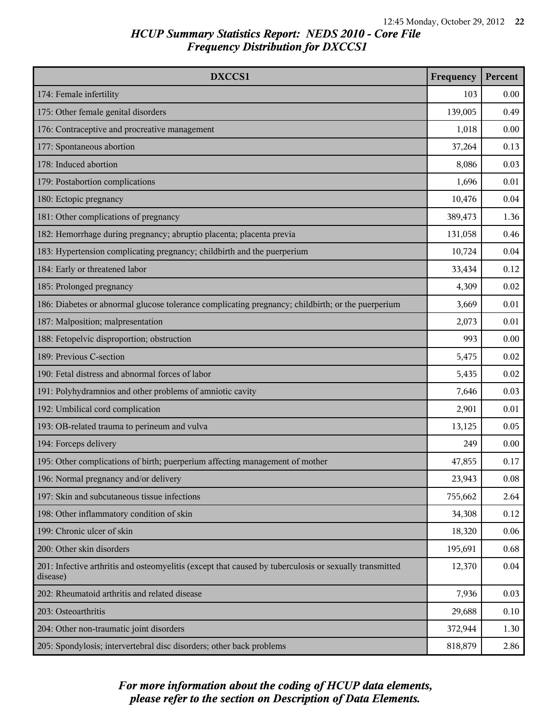| DXCCS1                                                                                                             | Frequency | Percent |
|--------------------------------------------------------------------------------------------------------------------|-----------|---------|
| 174: Female infertility                                                                                            | 103       | 0.00    |
| 175: Other female genital disorders                                                                                | 139,005   | 0.49    |
| 176: Contraceptive and procreative management                                                                      | 1,018     | 0.00    |
| 177: Spontaneous abortion                                                                                          | 37,264    | 0.13    |
| 178: Induced abortion                                                                                              | 8,086     | 0.03    |
| 179: Postabortion complications                                                                                    | 1,696     | 0.01    |
| 180: Ectopic pregnancy                                                                                             | 10,476    | 0.04    |
| 181: Other complications of pregnancy                                                                              | 389,473   | 1.36    |
| 182: Hemorrhage during pregnancy; abruptio placenta; placenta previa                                               | 131,058   | 0.46    |
| 183: Hypertension complicating pregnancy; childbirth and the puerperium                                            | 10,724    | 0.04    |
| 184: Early or threatened labor                                                                                     | 33,434    | 0.12    |
| 185: Prolonged pregnancy                                                                                           | 4,309     | 0.02    |
| 186: Diabetes or abnormal glucose tolerance complicating pregnancy; childbirth; or the puerperium                  | 3,669     | 0.01    |
| 187: Malposition; malpresentation                                                                                  | 2,073     | 0.01    |
| 188: Fetopelvic disproportion; obstruction                                                                         | 993       | 0.00    |
| 189: Previous C-section                                                                                            | 5,475     | 0.02    |
| 190: Fetal distress and abnormal forces of labor                                                                   | 5,435     | 0.02    |
| 191: Polyhydramnios and other problems of amniotic cavity                                                          | 7,646     | 0.03    |
| 192: Umbilical cord complication                                                                                   | 2,901     | 0.01    |
| 193: OB-related trauma to perineum and vulva                                                                       | 13,125    | 0.05    |
| 194: Forceps delivery                                                                                              | 249       | 0.00    |
| 195: Other complications of birth; puerperium affecting management of mother                                       | 47,855    | 0.17    |
| 196: Normal pregnancy and/or delivery                                                                              | 23,943    | 0.08    |
| 197: Skin and subcutaneous tissue infections                                                                       | 755,662   | 2.64    |
| 198: Other inflammatory condition of skin                                                                          | 34,308    | 0.12    |
| 199: Chronic ulcer of skin                                                                                         | 18,320    | 0.06    |
| 200: Other skin disorders                                                                                          | 195,691   | 0.68    |
| 201: Infective arthritis and osteomyelitis (except that caused by tuberculosis or sexually transmitted<br>disease) | 12,370    | 0.04    |
| 202: Rheumatoid arthritis and related disease                                                                      | 7,936     | 0.03    |
| 203: Osteoarthritis                                                                                                | 29,688    | 0.10    |
| 204: Other non-traumatic joint disorders                                                                           | 372,944   | 1.30    |
| 205: Spondylosis; intervertebral disc disorders; other back problems                                               | 818,879   | 2.86    |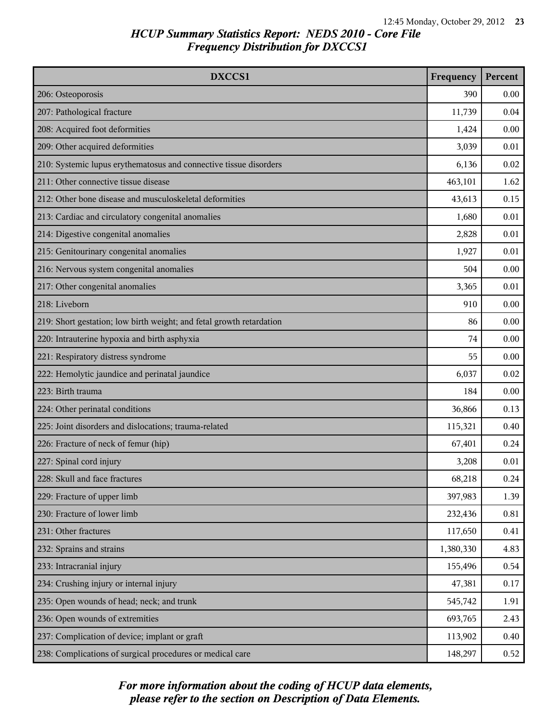| DXCCS1                                                               | Frequency | Percent |
|----------------------------------------------------------------------|-----------|---------|
| 206: Osteoporosis                                                    | 390       | 0.00    |
| 207: Pathological fracture                                           | 11,739    | 0.04    |
| 208: Acquired foot deformities                                       | 1,424     | 0.00    |
| 209: Other acquired deformities                                      | 3,039     | 0.01    |
| 210: Systemic lupus erythematosus and connective tissue disorders    | 6,136     | 0.02    |
| 211: Other connective tissue disease                                 | 463,101   | 1.62    |
| 212: Other bone disease and musculoskeletal deformities              | 43,613    | 0.15    |
| 213: Cardiac and circulatory congenital anomalies                    | 1,680     | 0.01    |
| 214: Digestive congenital anomalies                                  | 2,828     | 0.01    |
| 215: Genitourinary congenital anomalies                              | 1,927     | 0.01    |
| 216: Nervous system congenital anomalies                             | 504       | 0.00    |
| 217: Other congenital anomalies                                      | 3,365     | 0.01    |
| 218: Liveborn                                                        | 910       | 0.00    |
| 219: Short gestation; low birth weight; and fetal growth retardation | 86        | 0.00    |
| 220: Intrauterine hypoxia and birth asphyxia                         | 74        | 0.00    |
| 221: Respiratory distress syndrome                                   | 55        | 0.00    |
| 222: Hemolytic jaundice and perinatal jaundice                       | 6,037     | 0.02    |
| 223: Birth trauma                                                    | 184       | 0.00    |
| 224: Other perinatal conditions                                      | 36,866    | 0.13    |
| 225: Joint disorders and dislocations; trauma-related                | 115,321   | 0.40    |
| 226: Fracture of neck of femur (hip)                                 | 67,401    | 0.24    |
| 227: Spinal cord injury                                              | 3,208     | 0.01    |
| 228: Skull and face fractures                                        | 68,218    | 0.24    |
| 229: Fracture of upper limb                                          | 397,983   | 1.39    |
| 230: Fracture of lower limb                                          | 232,436   | 0.81    |
| 231: Other fractures                                                 | 117,650   | 0.41    |
| 232: Sprains and strains                                             | 1,380,330 | 4.83    |
| 233: Intracranial injury                                             | 155,496   | 0.54    |
| 234: Crushing injury or internal injury                              | 47,381    | 0.17    |
| 235: Open wounds of head; neck; and trunk                            | 545,742   | 1.91    |
| 236: Open wounds of extremities                                      | 693,765   | 2.43    |
| 237: Complication of device; implant or graft                        | 113,902   | 0.40    |
| 238: Complications of surgical procedures or medical care            | 148,297   | 0.52    |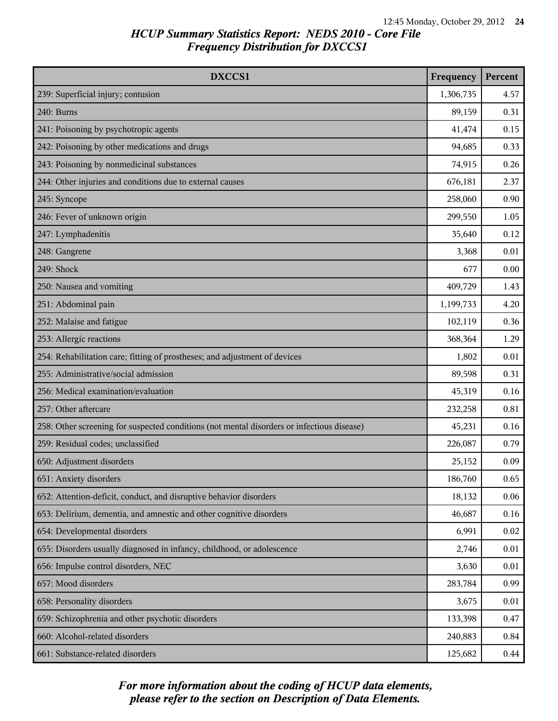| DXCCS1                                                                                     | Frequency | Percent |
|--------------------------------------------------------------------------------------------|-----------|---------|
| 239: Superficial injury; contusion                                                         | 1,306,735 | 4.57    |
| 240: Burns                                                                                 | 89,159    | 0.31    |
| 241: Poisoning by psychotropic agents                                                      | 41,474    | 0.15    |
| 242: Poisoning by other medications and drugs                                              | 94,685    | 0.33    |
| 243: Poisoning by nonmedicinal substances                                                  | 74,915    | 0.26    |
| 244: Other injuries and conditions due to external causes                                  | 676,181   | 2.37    |
| 245: Syncope                                                                               | 258,060   | 0.90    |
| 246: Fever of unknown origin                                                               | 299,550   | 1.05    |
| 247: Lymphadenitis                                                                         | 35,640    | 0.12    |
| 248: Gangrene                                                                              | 3,368     | 0.01    |
| 249: Shock                                                                                 | 677       | 0.00    |
| 250: Nausea and vomiting                                                                   | 409,729   | 1.43    |
| 251: Abdominal pain                                                                        | 1,199,733 | 4.20    |
| 252: Malaise and fatigue                                                                   | 102,119   | 0.36    |
| 253: Allergic reactions                                                                    | 368,364   | 1.29    |
| 254: Rehabilitation care; fitting of prostheses; and adjustment of devices                 | 1,802     | 0.01    |
| 255: Administrative/social admission                                                       | 89,598    | 0.31    |
| 256: Medical examination/evaluation                                                        | 45,319    | 0.16    |
| 257: Other aftercare                                                                       | 232,258   | 0.81    |
| 258: Other screening for suspected conditions (not mental disorders or infectious disease) | 45,231    | 0.16    |
| 259: Residual codes; unclassified                                                          | 226,087   | 0.79    |
| 650: Adjustment disorders                                                                  | 25,152    | 0.09    |
| 651: Anxiety disorders                                                                     | 186,760   | 0.65    |
| 652: Attention-deficit, conduct, and disruptive behavior disorders                         | 18,132    | 0.06    |
| 653: Delirium, dementia, and amnestic and other cognitive disorders                        | 46,687    | 0.16    |
| 654: Developmental disorders                                                               | 6,991     | 0.02    |
| 655: Disorders usually diagnosed in infancy, childhood, or adolescence                     | 2,746     | 0.01    |
| 656: Impulse control disorders, NEC                                                        | 3,630     | 0.01    |
| 657: Mood disorders                                                                        | 283,784   | 0.99    |
| 658: Personality disorders                                                                 | 3,675     | 0.01    |
| 659: Schizophrenia and other psychotic disorders                                           | 133,398   | 0.47    |
| 660: Alcohol-related disorders                                                             | 240,883   | 0.84    |
| 661: Substance-related disorders                                                           | 125,682   | 0.44    |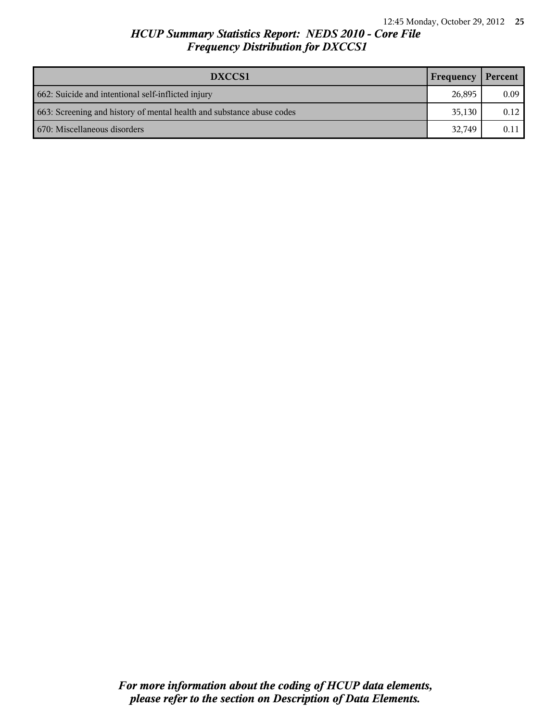| DXCCS1                                                                | Frequency | Percent |
|-----------------------------------------------------------------------|-----------|---------|
| 662: Suicide and intentional self-inflicted injury                    | 26,895    | 0.09    |
| 663: Screening and history of mental health and substance abuse codes | 35.130    | 0.12    |
| 670: Miscellaneous disorders                                          |           | 0.11    |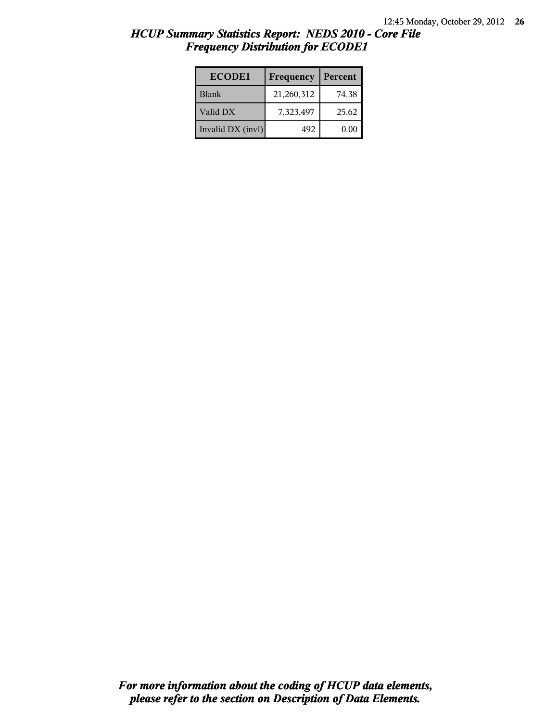| <b>ECODE1</b>     | Frequency  | Percent |
|-------------------|------------|---------|
| <b>Blank</b>      | 21,260,312 | 74.38   |
| Valid DX          | 7,323,497  | 25.62   |
| Invalid DX (invl) | 492        | 0.00    |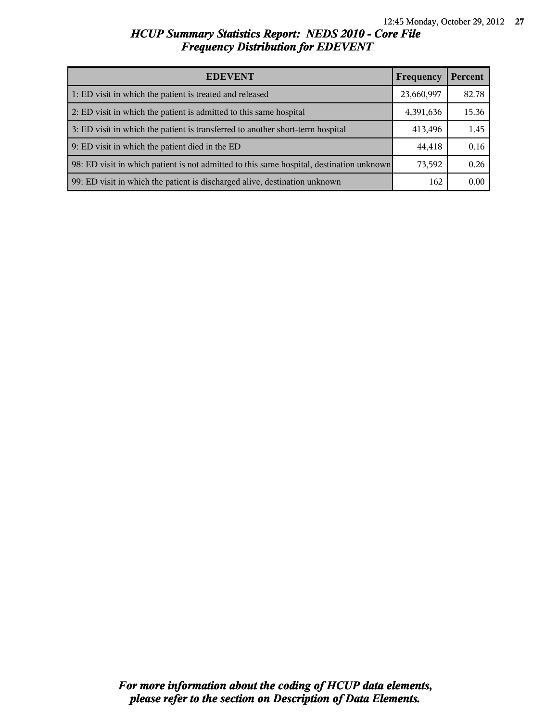| <b>EDEVENT</b><br>Frequency                                                              |           | Percent |
|------------------------------------------------------------------------------------------|-----------|---------|
| 1: ED visit in which the patient is treated and released                                 |           | 82.78   |
| 2: ED visit in which the patient is admitted to this same hospital                       | 4,391,636 | 15.36   |
| 3: ED visit in which the patient is transferred to another short-term hospital           |           | 1.45    |
| 9: ED visit in which the patient died in the ED                                          |           | 0.16    |
| 98: ED visit in which patient is not admitted to this same hospital, destination unknown | 73,592    | 0.26    |
| 99: ED visit in which the patient is discharged alive, destination unknown               |           | 0.00    |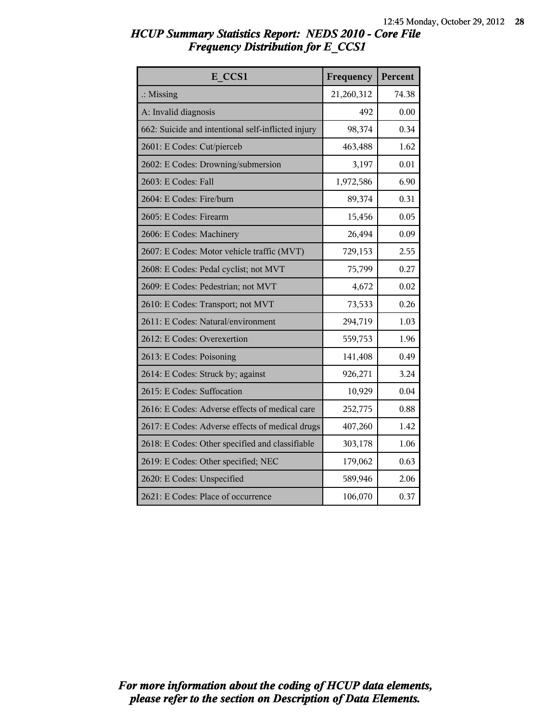| HCUP Summary Statistics Report: NEDS 2010 - Core File |  |
|-------------------------------------------------------|--|
| <b>Frequency Distribution for E CCS1</b>              |  |

| E CCS1                                             | Frequency  | Percent |
|----------------------------------------------------|------------|---------|
| $\therefore$ Missing                               | 21,260,312 | 74.38   |
| A: Invalid diagnosis                               | 492        | 0.00    |
| 662: Suicide and intentional self-inflicted injury | 98,374     | 0.34    |
| 2601: E Codes: Cut/pierceb                         | 463,488    | 1.62    |
| 2602: E Codes: Drowning/submersion                 | 3,197      | 0.01    |
| 2603: E Codes: Fall                                | 1,972,586  | 6.90    |
| 2604: E Codes: Fire/burn                           | 89,374     | 0.31    |
| 2605: E Codes: Firearm                             | 15,456     | 0.05    |
| 2606: E Codes: Machinery                           | 26,494     | 0.09    |
| 2607: E Codes: Motor vehicle traffic (MVT)         | 729,153    | 2.55    |
| 2608: E Codes: Pedal cyclist; not MVT              | 75,799     | 0.27    |
| 2609: E Codes: Pedestrian; not MVT                 | 4,672      | 0.02    |
| 2610: E Codes: Transport; not MVT                  | 73,533     | 0.26    |
| 2611: E Codes: Natural/environment                 | 294,719    | 1.03    |
| 2612: E Codes: Overexertion                        | 559,753    | 1.96    |
| 2613: E Codes: Poisoning                           | 141,408    | 0.49    |
| 2614: E Codes: Struck by; against                  | 926,271    | 3.24    |
| 2615: E Codes: Suffocation                         | 10,929     | 0.04    |
| 2616: E Codes: Adverse effects of medical care     | 252,775    | 0.88    |
| 2617: E Codes: Adverse effects of medical drugs    | 407,260    | 1.42    |
| 2618: E Codes: Other specified and classifiable    | 303,178    | 1.06    |
| 2619: E Codes: Other specified; NEC                | 179,062    | 0.63    |
| 2620: E Codes: Unspecified                         | 589,946    | 2.06    |
| 2621: E Codes: Place of occurrence                 | 106,070    | 0.37    |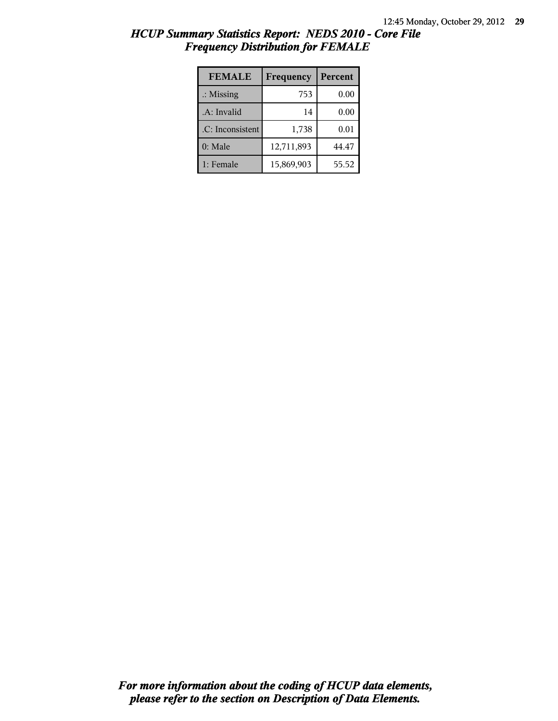| HCUP Summary Statistics Report: NEDS 2010 - Core File |  |
|-------------------------------------------------------|--|
| <b>Frequency Distribution for FEMALE</b>              |  |

| <b>FEMALE</b>        | Frequency  | Percent |
|----------------------|------------|---------|
| $\therefore$ Missing | 753        | 0.00    |
| .A: Invalid          | 14         | 0.00    |
| .C: Inconsistent     | 1,738      | 0.01    |
| 0: Male              | 12,711,893 | 44.47   |
| 1: Female            | 15,869,903 | 55.52   |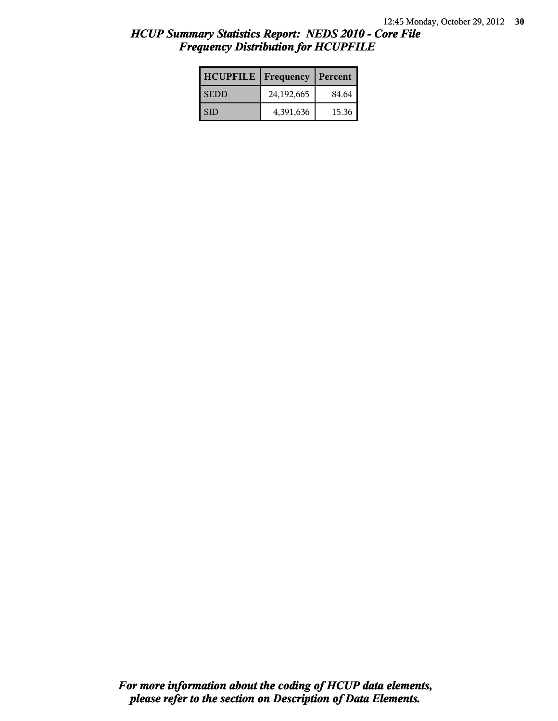| <b>HCUPFILE</b> | Frequency  | Percent |
|-----------------|------------|---------|
| <b>SEDD</b>     | 24,192,665 | 84.64   |
| <b>SID</b>      | 4,391,636  | 15.36   |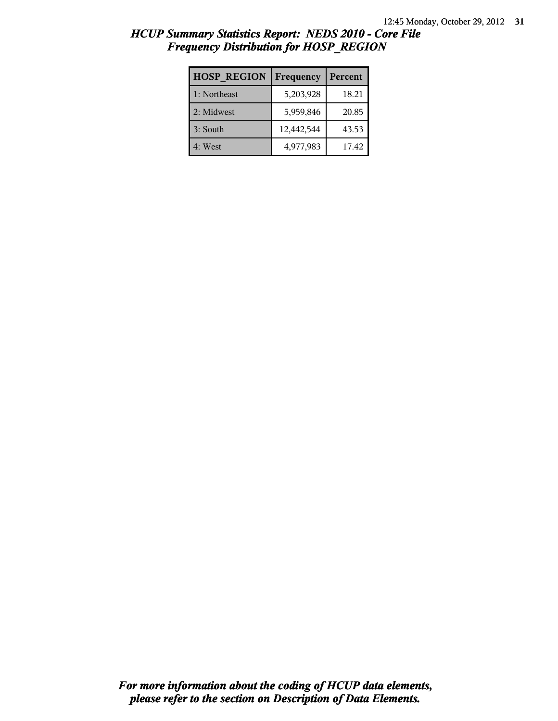| <b>HOSP REGION</b> | Frequency  | Percent |
|--------------------|------------|---------|
| 1: Northeast       | 5,203,928  | 18.21   |
| 2: Midwest         | 5,959,846  | 20.85   |
| 3: South           | 12,442,544 | 43.53   |
| 4: West            | 4,977,983  | 17.42   |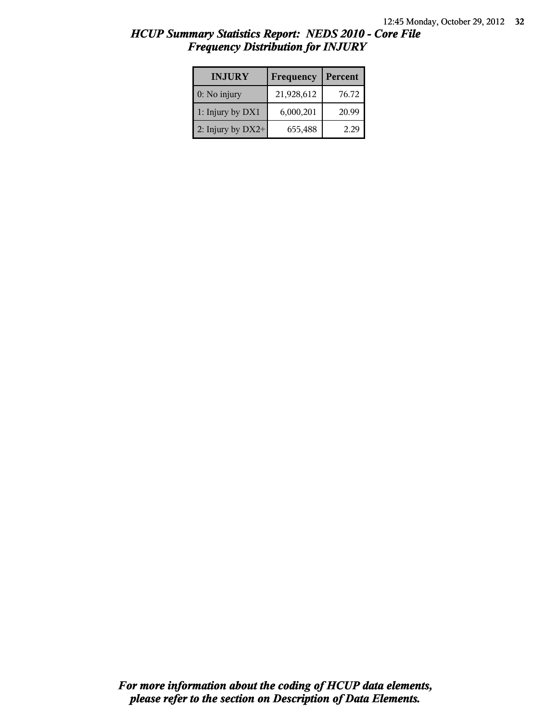| <b>INJURY</b>       | Frequency  | Percent |
|---------------------|------------|---------|
| $0:$ No injury      | 21,928,612 | 76.72   |
| 1: Injury by DX1    | 6,000,201  | 20.99   |
| 2: Injury by $DX2+$ | 655,488    | つつし     |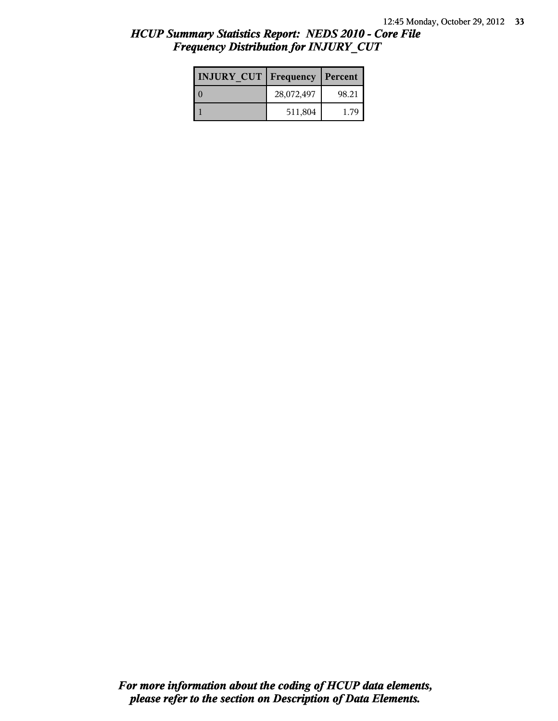| <b>INJURY CUT   Frequency</b> |            | Percent |
|-------------------------------|------------|---------|
|                               | 28,072,497 | 98.21   |
|                               | 511,804    | 179     |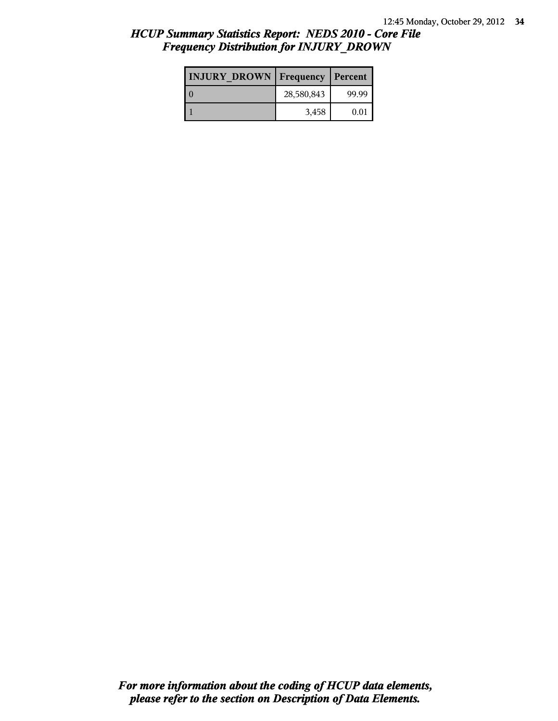| <b>INJURY DROWN   Frequency</b> |            | Percent |
|---------------------------------|------------|---------|
|                                 | 28,580,843 | 99.99   |
|                                 | 3,458      | 0.01    |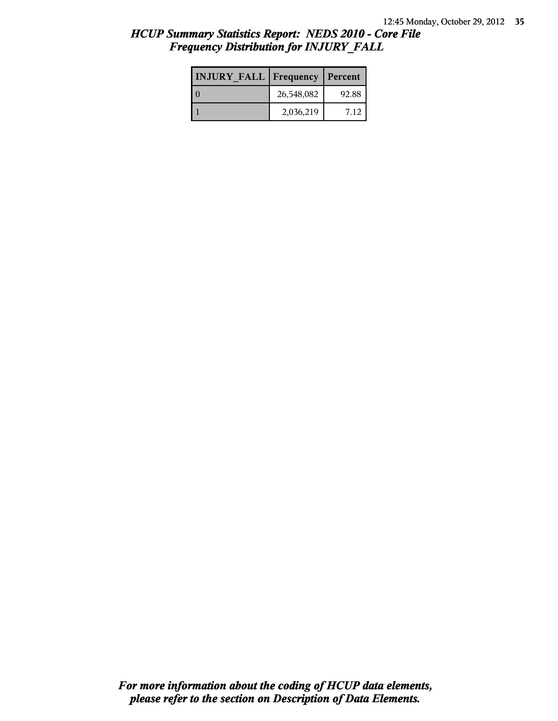| <b>INJURY FALL   Frequency   Percent</b> |            |       |
|------------------------------------------|------------|-------|
|                                          | 26,548,082 | 92.88 |
|                                          | 2,036,219  | 712   |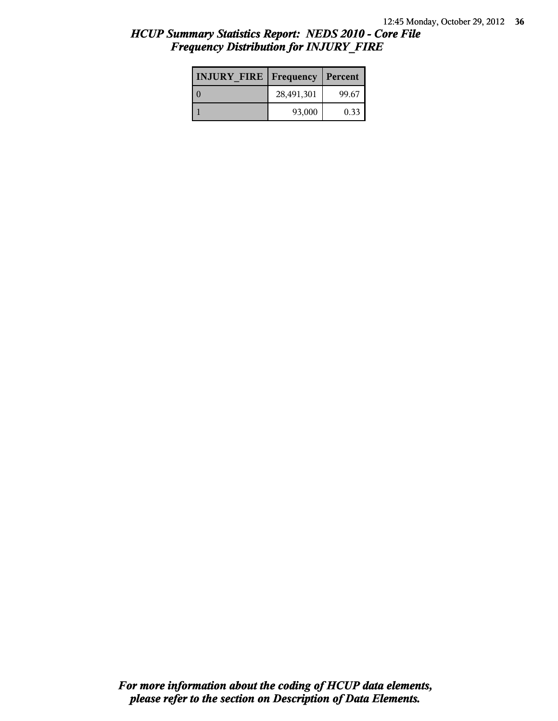| <b>INJURY FIRE Frequency</b> |            | Percent |
|------------------------------|------------|---------|
|                              | 28,491,301 | 99.67   |
|                              | 93,000     | 0.33    |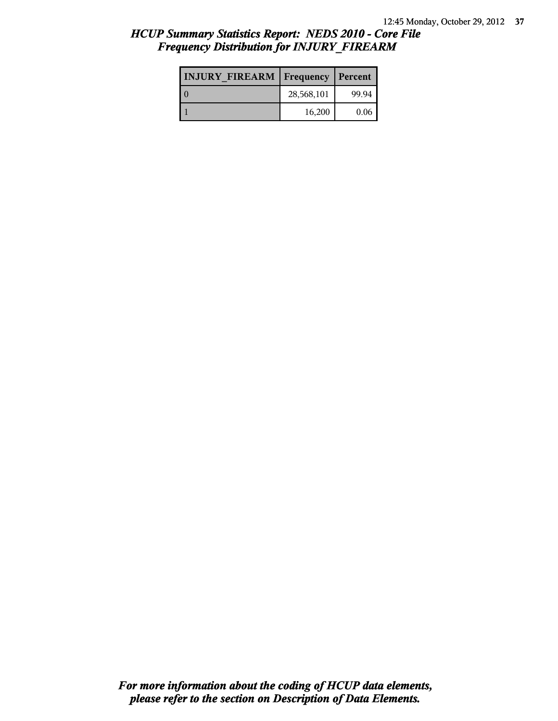| <b>INJURY FIREARM Frequency</b> |            | Percent |
|---------------------------------|------------|---------|
|                                 | 28,568,101 | 99.94   |
|                                 | 16,200     | 0.06    |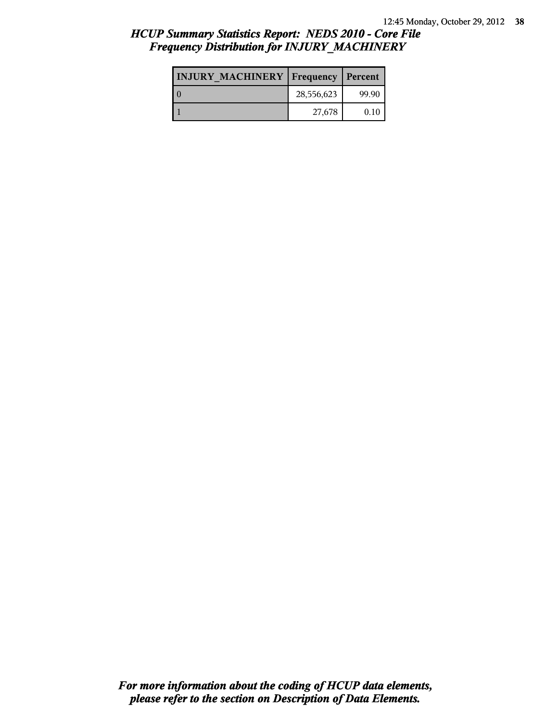| <b>INJURY MACHINERY   Frequency   Percent</b> |            |       |
|-----------------------------------------------|------------|-------|
|                                               | 28,556,623 | 99.90 |
|                                               | 27,678     | 0.10  |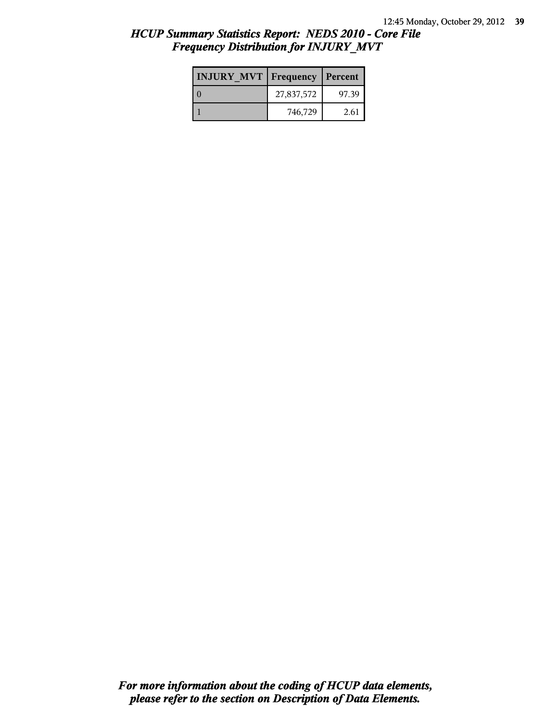| <b>INJURY MVT Frequency</b> |            | Percent |
|-----------------------------|------------|---------|
|                             | 27,837,572 | 97.39   |
|                             | 746,729    | 2.61    |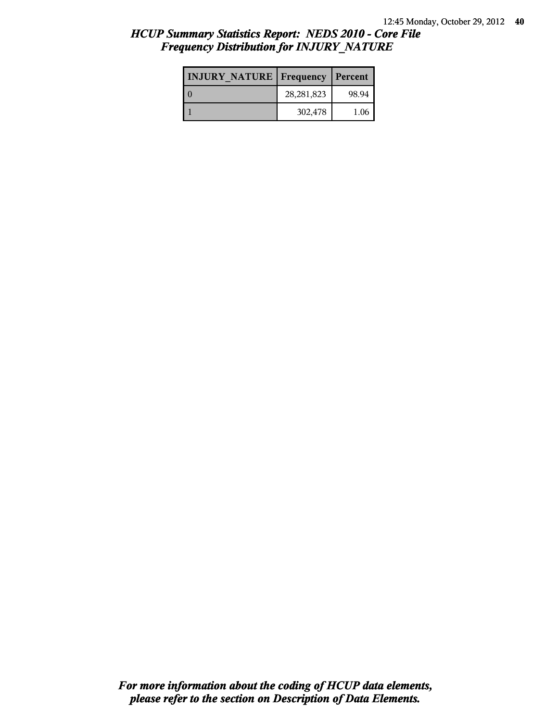| <b>INJURY NATURE Frequency</b> |              | Percent |
|--------------------------------|--------------|---------|
|                                | 28, 281, 823 | 98.94   |
|                                | 302,478      | 1.06    |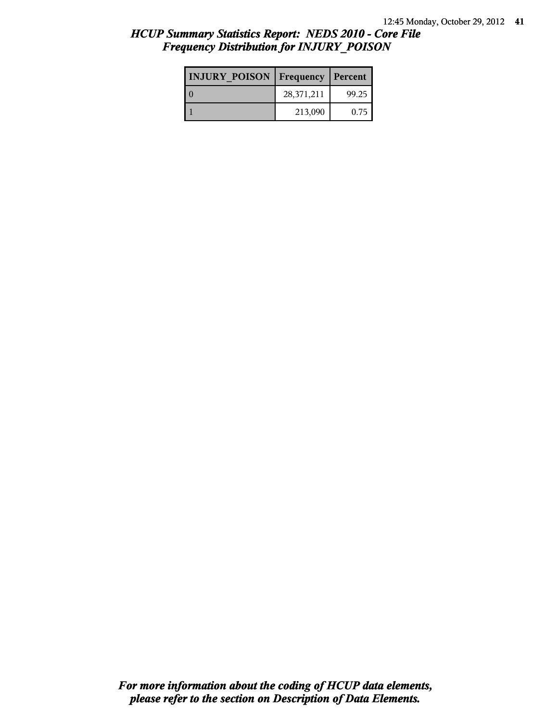| <b>INJURY POISON   Frequency   Percent</b> |            |       |
|--------------------------------------------|------------|-------|
|                                            | 28,371,211 | 99.25 |
|                                            | 213,090    | 0.75  |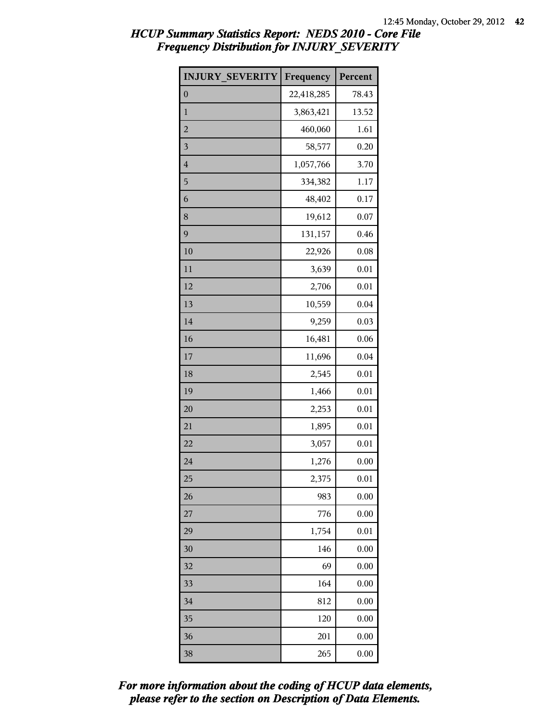| <b>INJURY SEVERITY</b> | Frequency  | Percent |
|------------------------|------------|---------|
| $\boldsymbol{0}$       | 22,418,285 | 78.43   |
| $\mathbf{1}$           | 3,863,421  | 13.52   |
| $\overline{c}$         | 460,060    | 1.61    |
| $\mathfrak{Z}$         | 58,577     | 0.20    |
| $\overline{4}$         | 1,057,766  | 3.70    |
| 5                      | 334,382    | 1.17    |
| 6                      | 48,402     | 0.17    |
| 8                      | 19,612     | 0.07    |
| 9                      | 131,157    | 0.46    |
| 10                     | 22,926     | 0.08    |
| 11                     | 3,639      | 0.01    |
| 12                     | 2,706      | 0.01    |
| 13                     | 10,559     | 0.04    |
| 14                     | 9,259      | 0.03    |
| 16                     | 16,481     | 0.06    |
| 17                     | 11,696     | 0.04    |
| 18                     | 2,545      | 0.01    |
| 19                     | 1,466      | 0.01    |
| 20                     | 2,253      | 0.01    |
| 21                     | 1,895      | 0.01    |
| 22                     | 3,057      | 0.01    |
| 24                     | 1,276      | 0.00    |
| 25                     | 2,375      | 0.01    |
| 26                     | 983        | 0.00    |
| 27                     | 776        | 0.00    |
| 29                     | 1,754      | 0.01    |
| 30                     | 146        | 0.00    |
| 32                     | 69         | 0.00    |
| 33                     | 164        | 0.00    |
| 34                     | 812        | 0.00    |
| 35                     | 120        | 0.00    |
| 36                     | 201        | 0.00    |
| 38                     | 265        | 0.00    |

*please refer to the section on Description of Data Elements. For more information about the coding of HCUP data elements,*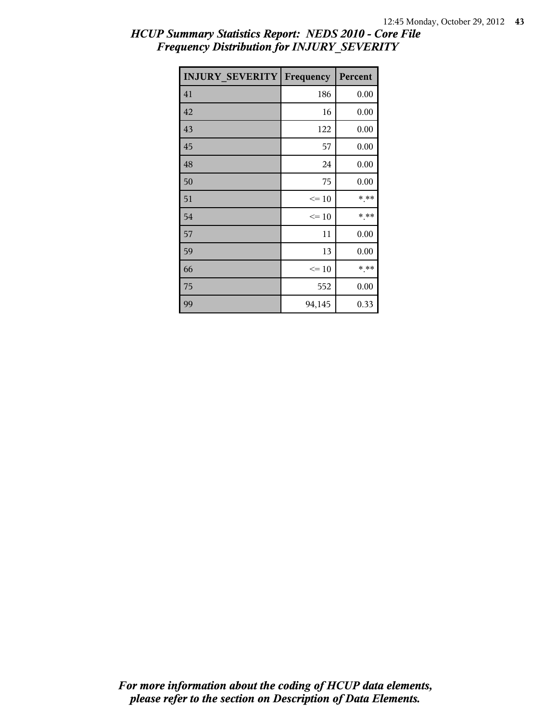| <b>INJURY SEVERITY</b> | Frequency | Percent |
|------------------------|-----------|---------|
| 41                     | 186       | 0.00    |
| 42                     | 16        | 0.00    |
| 43                     | 122       | 0.00    |
| 45                     | 57        | 0.00    |
| 48                     | 24        | 0.00    |
| 50                     | 75        | 0.00    |
| 51                     | $\leq 10$ | * **    |
| 54                     | $\leq 10$ | * **    |
| 57                     | 11        | 0.00    |
| 59                     | 13        | 0.00    |
| 66                     | $\leq 10$ | * **    |
| 75                     | 552       | 0.00    |
| 99                     | 94,145    | 0.33    |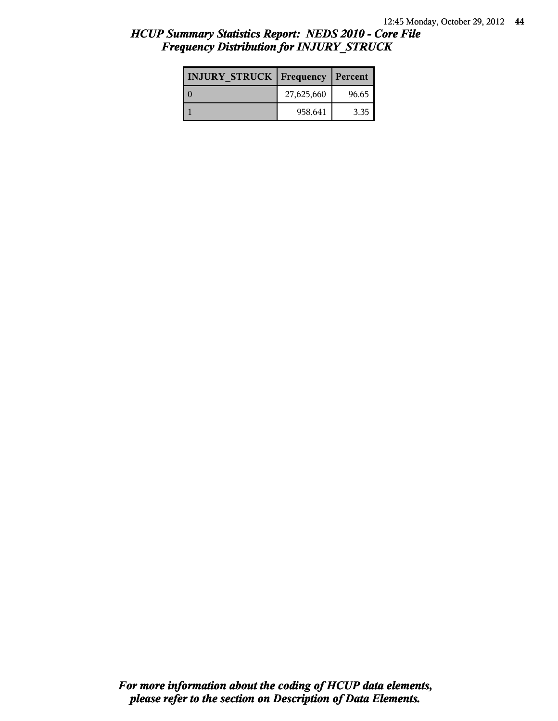| <b>INJURY STRUCK   Frequency</b> |            | Percent |
|----------------------------------|------------|---------|
|                                  | 27,625,660 | 96.65   |
|                                  | 958,641    | 3.35    |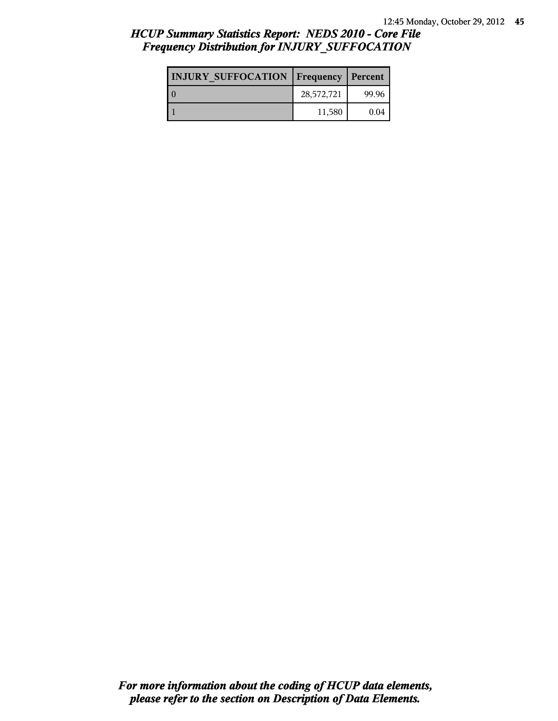# *HCUP Summary Statistics Report: NEDS 2010 - Core File Frequency Distribution for INJURY\_SUFFOCATION*

| <b>INJURY SUFFOCATION   Frequency   Percent</b> |            |       |
|-------------------------------------------------|------------|-------|
|                                                 | 28,572,721 | 99.96 |
|                                                 | 11,580     | 0.04  |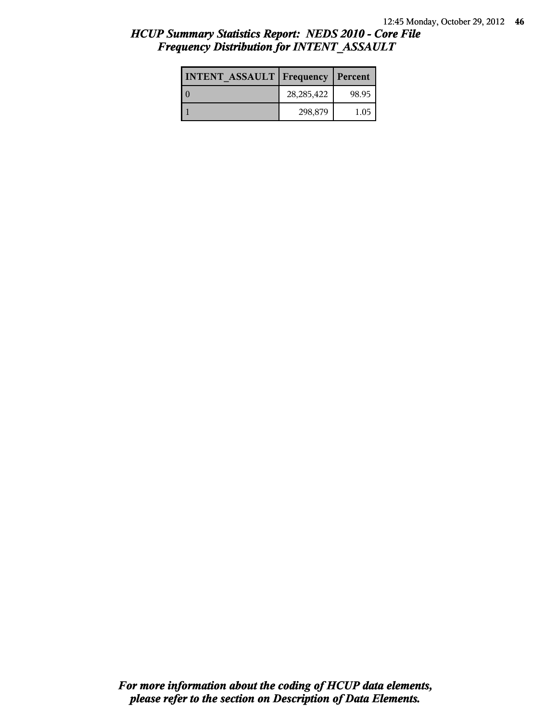| <b>INTENT ASSAULT Frequency</b> |              | Percent |
|---------------------------------|--------------|---------|
|                                 | 28, 285, 422 | 98.95   |
|                                 | 298,879      | 1.05    |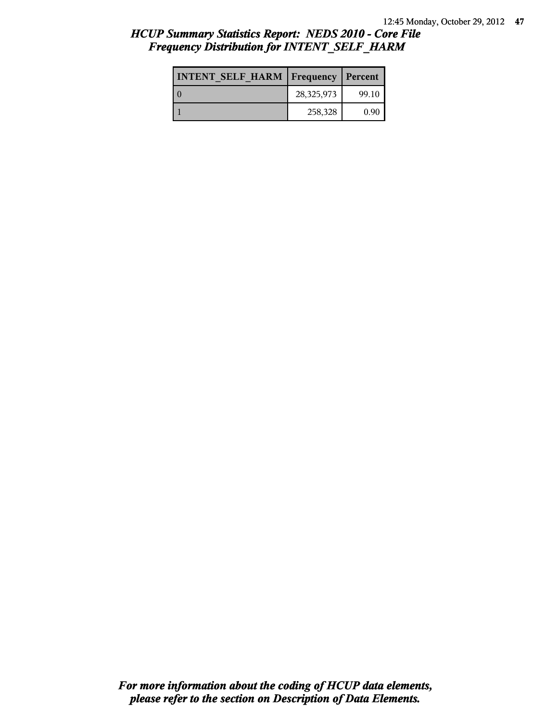| <b>INTENT SELF HARM   Frequency   Percent</b> |            |       |
|-----------------------------------------------|------------|-------|
| l 0                                           | 28,325,973 | 99.10 |
|                                               | 258,328    | 0.90  |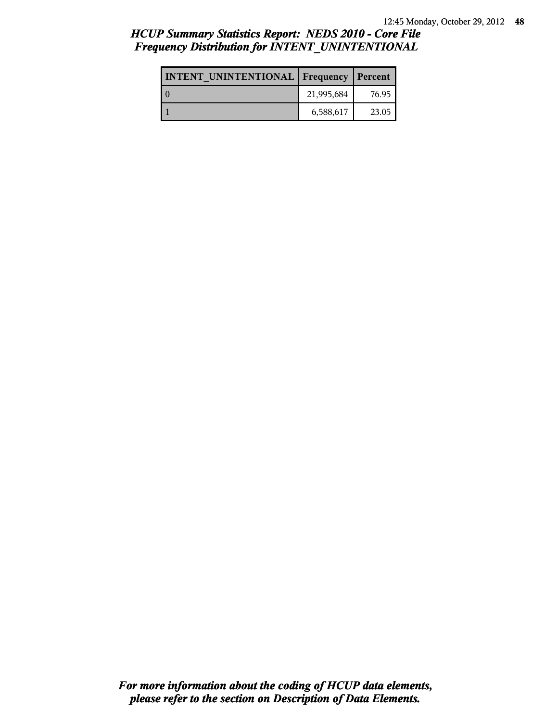# *HCUP Summary Statistics Report: NEDS 2010 - Core File Frequency Distribution for INTENT\_UNINTENTIONAL*

| <b>INTENT UNINTENTIONAL Frequency Percent</b> |            |       |
|-----------------------------------------------|------------|-------|
|                                               | 21,995,684 | 76.95 |
|                                               | 6,588,617  | 23.05 |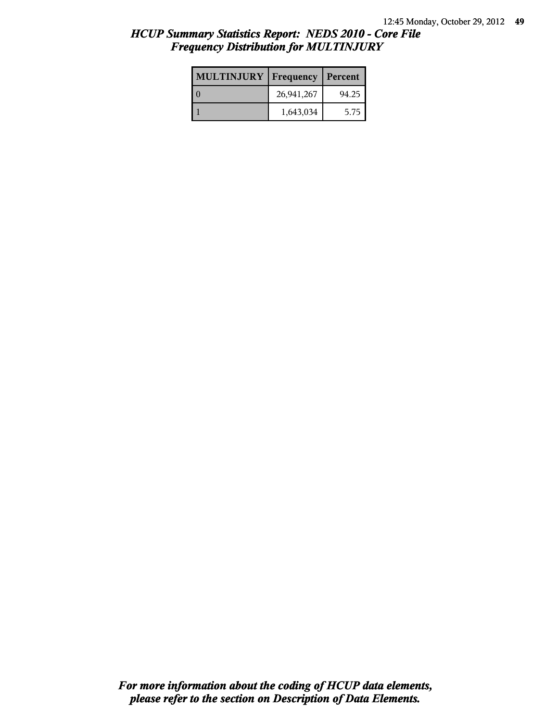| <b>MULTINJURY</b> | Frequency  | Percent |
|-------------------|------------|---------|
|                   | 26,941,267 | 94.25   |
|                   | 1,643,034  | 5.75    |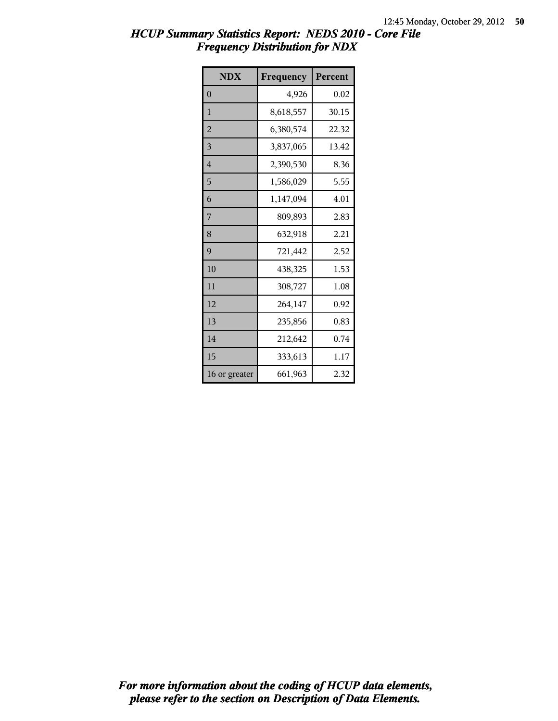| <b>NDX</b>     | Frequency | Percent |
|----------------|-----------|---------|
| $\theta$       | 4,926     | 0.02    |
| 1              | 8,618,557 | 30.15   |
| $\overline{2}$ | 6,380,574 | 22.32   |
| 3              | 3,837,065 | 13.42   |
| $\overline{4}$ | 2,390,530 | 8.36    |
| 5              | 1,586,029 | 5.55    |
| 6              | 1,147,094 | 4.01    |
| 7              | 809,893   | 2.83    |
| 8              | 632,918   | 2.21    |
| 9              | 721,442   | 2.52    |
| 10             | 438,325   | 1.53    |
| 11             | 308,727   | 1.08    |
| 12             | 264,147   | 0.92    |
| 13             | 235,856   | 0.83    |
| 14             | 212,642   | 0.74    |
| 15             | 333,613   | 1.17    |
| 16 or greater  | 661,963   | 2.32    |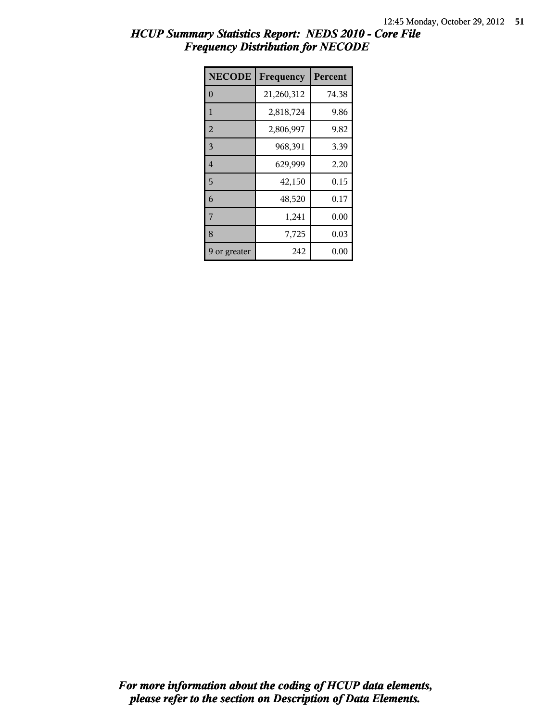| <b>NECODE</b>  | Frequency  | Percent |
|----------------|------------|---------|
| $\theta$       | 21,260,312 | 74.38   |
| $\mathbf{1}$   | 2,818,724  | 9.86    |
| $\overline{2}$ | 2,806,997  | 9.82    |
| $\overline{3}$ | 968,391    | 3.39    |
| $\overline{4}$ | 629,999    | 2.20    |
| 5              | 42,150     | 0.15    |
| 6              | 48,520     | 0.17    |
| 7              | 1,241      | 0.00    |
| 8              | 7,725      | 0.03    |
| or greater     | 242        | 0.00    |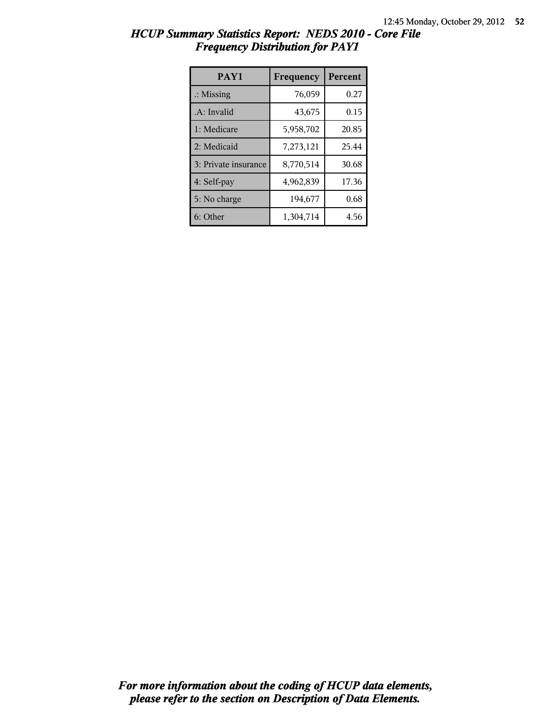| HCUP Summary Statistics Report: NEDS 2010 - Core File |                                        |  |
|-------------------------------------------------------|----------------------------------------|--|
|                                                       | <b>Frequency Distribution for PAY1</b> |  |

| PAY1                 | Frequency | Percent |
|----------------------|-----------|---------|
| $\therefore$ Missing | 76,059    | 0.27    |
| .A: Invalid          | 43,675    | 0.15    |
| 1: Medicare          | 5,958,702 | 20.85   |
| 2: Medicaid          | 7,273,121 | 25.44   |
| 3: Private insurance | 8,770,514 | 30.68   |
| 4: Self-pay          | 4,962,839 | 17.36   |
| 5: No charge         | 194,677   | 0.68    |
| 6: Other             | 1,304,714 | 4.56    |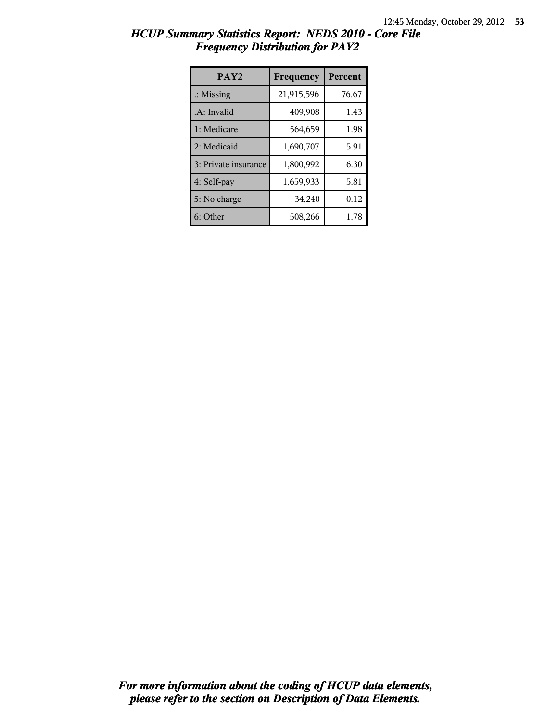| HCUP Summary Statistics Report: NEDS 2010 - Core File |                                        |  |
|-------------------------------------------------------|----------------------------------------|--|
|                                                       | <b>Frequency Distribution for PAY2</b> |  |

| PAY <sub>2</sub>     | Frequency  | Percent |
|----------------------|------------|---------|
| $\therefore$ Missing | 21,915,596 | 76.67   |
| .A: Invalid          | 409,908    | 1.43    |
| 1: Medicare          | 564,659    | 1.98    |
| 2: Medicaid          | 1,690,707  | 5.91    |
| 3: Private insurance | 1,800,992  | 6.30    |
| 4: Self-pay          | 1,659,933  | 5.81    |
| 5: No charge         | 34,240     | 0.12    |
| 6: Other             | 508,266    | 1.78    |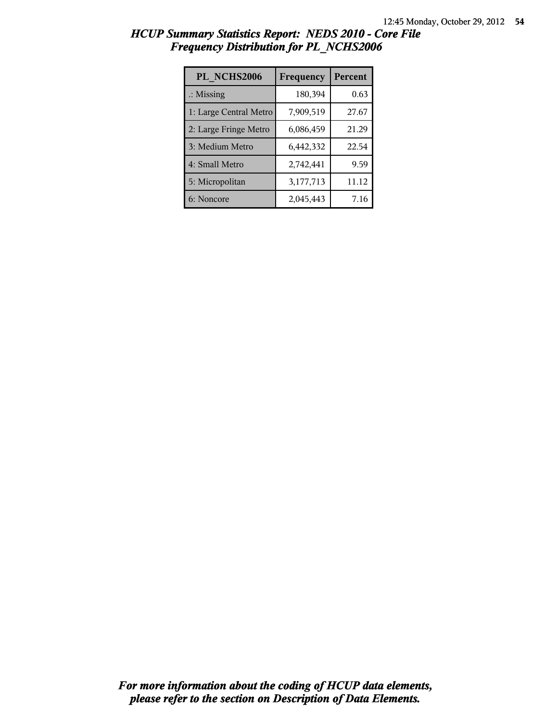| PL NCHS2006            | Frequency | Percent |
|------------------------|-----------|---------|
| $\therefore$ Missing   | 180,394   | 0.63    |
| 1: Large Central Metro | 7,909,519 | 27.67   |
| 2: Large Fringe Metro  | 6,086,459 | 21.29   |
| 3: Medium Metro        | 6,442,332 | 22.54   |
| 4: Small Metro         | 2,742,441 | 9.59    |
| 5: Micropolitan        | 3,177,713 | 11.12   |
| 6: Noncore             | 2,045,443 | 7.16    |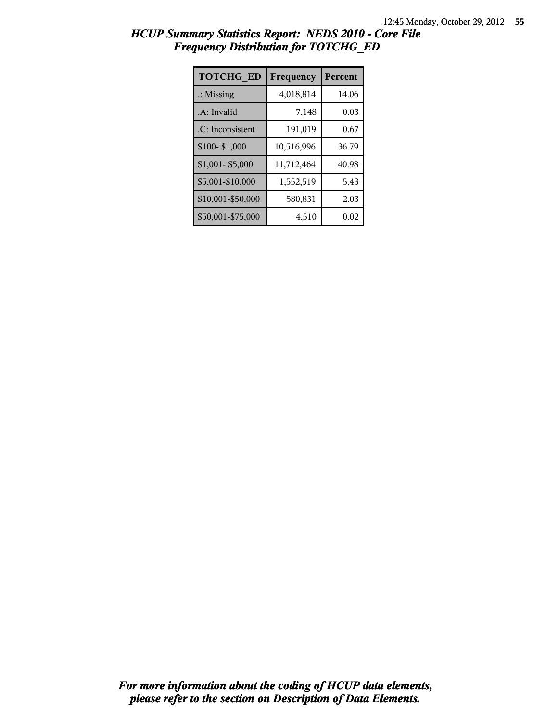| <b>TOTCHG ED</b>     | Frequency  | Percent |
|----------------------|------------|---------|
| $\therefore$ Missing | 4,018,814  | 14.06   |
| .A: Invalid          | 7,148      | 0.03    |
| .C: Inconsistent     | 191,019    | 0.67    |
| \$100-\$1,000        | 10,516,996 | 36.79   |
| $$1,001 - $5,000$    | 11,712,464 | 40.98   |
| \$5,001-\$10,000     | 1,552,519  | 5.43    |
| \$10,001-\$50,000    | 580,831    | 2.03    |
| \$50,001-\$75,000    | 4,510      | 0.02    |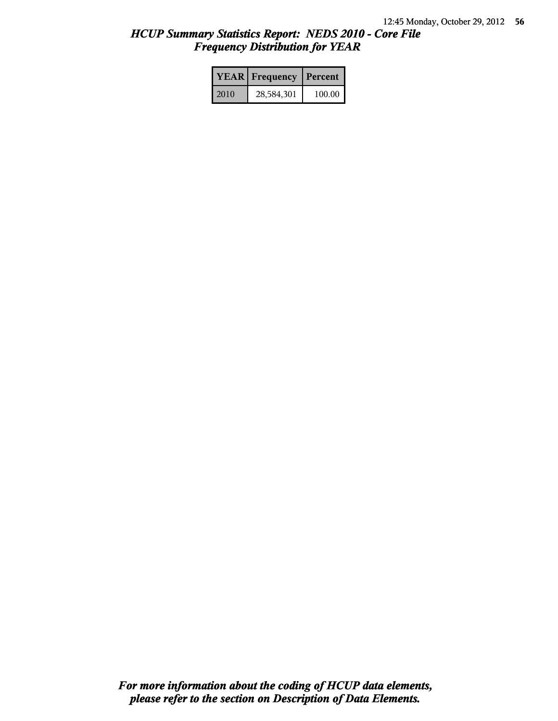|      | <b>YEAR</b> Frequency | Percent |  |
|------|-----------------------|---------|--|
| 2010 | 28,584,301            | 100.00  |  |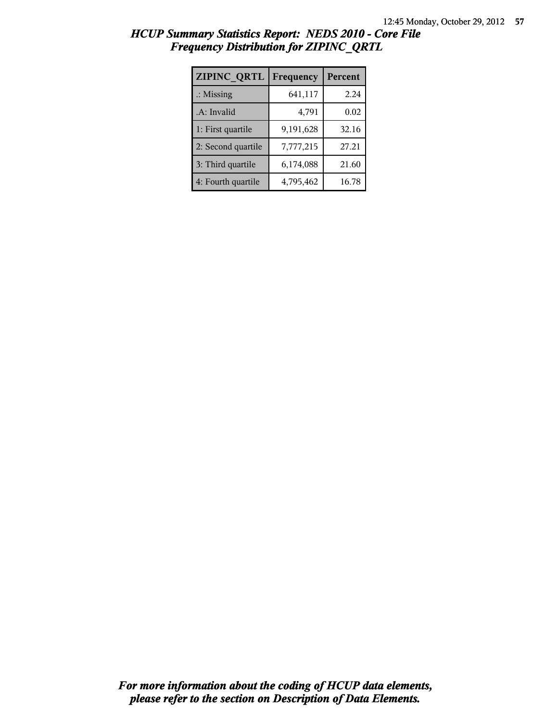| ZIPINC_QRTL          | Frequency | Percent |
|----------------------|-----------|---------|
| $\therefore$ Missing | 641,117   | 2.24    |
| .A: Invalid          | 4,791     | 0.02    |
| 1: First quartile    | 9,191,628 | 32.16   |
| 2: Second quartile   | 7,777,215 | 27.21   |
| 3: Third quartile    | 6,174,088 | 21.60   |
| 4: Fourth quartile   | 4,795,462 | 16.78   |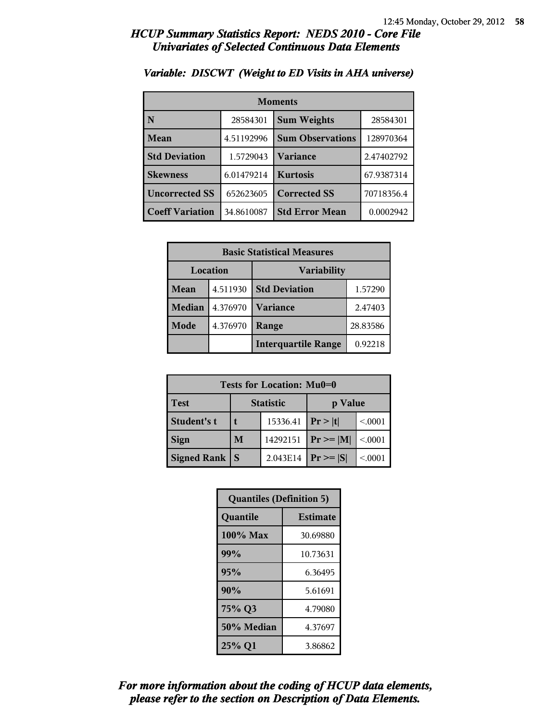| <b>Moments</b>         |            |                         |            |
|------------------------|------------|-------------------------|------------|
| N                      | 28584301   | <b>Sum Weights</b>      | 28584301   |
| Mean                   | 4.51192996 | <b>Sum Observations</b> | 128970364  |
| <b>Std Deviation</b>   | 1.5729043  | Variance                | 2.47402792 |
| <b>Skewness</b>        | 6.01479214 | <b>Kurtosis</b>         | 67.9387314 |
| <b>Uncorrected SS</b>  | 652623605  | <b>Corrected SS</b>     | 70718356.4 |
| <b>Coeff Variation</b> | 34.8610087 | <b>Std Error Mean</b>   | 0.0002942  |

### *Variable: DISCWT (Weight to ED Visits in AHA universe)*

| <b>Basic Statistical Measures</b> |          |                                       |          |
|-----------------------------------|----------|---------------------------------------|----------|
| Location<br><b>Variability</b>    |          |                                       |          |
| <b>Mean</b>                       | 4.511930 | <b>Std Deviation</b>                  | 1.57290  |
| <b>Median</b>                     | 4.376970 | <b>Variance</b>                       | 2.47403  |
| Mode                              | 4.376970 | Range                                 | 28.83586 |
|                                   |          | <b>Interquartile Range</b><br>0.92218 |          |

| Tests for Location: Mu0=0 |                             |          |                |         |  |
|---------------------------|-----------------------------|----------|----------------|---------|--|
| <b>Test</b>               | <b>Statistic</b><br>p Value |          |                |         |  |
| Student's t               | 15336.41                    |          | Pr >  t        | < 0001  |  |
| <b>Sign</b>               | M                           | 14292151 | $Pr \ge =  M $ | < 0.001 |  |
| <b>Signed Rank</b>        | S                           | 2.043E14 | $Pr \geq  S $  | < 0001  |  |

| <b>Quantiles (Definition 5)</b> |                 |  |
|---------------------------------|-----------------|--|
| Quantile                        | <b>Estimate</b> |  |
| 100% Max                        | 30.69880        |  |
| 99%                             | 10.73631        |  |
| 95%                             | 6.36495         |  |
| 90%                             | 5.61691         |  |
| 75% Q3                          | 4.79080         |  |
| 50% Median                      | 4.37697         |  |
| 25% Q1                          | 3.86862         |  |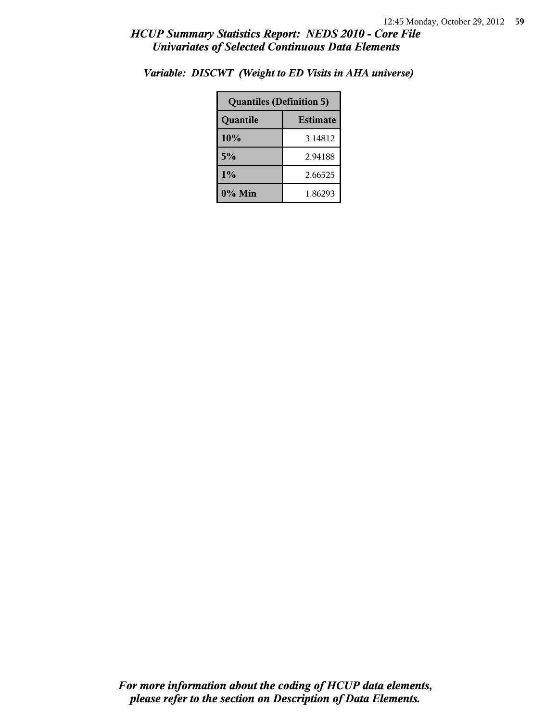| <b>Quantiles (Definition 5)</b> |         |  |
|---------------------------------|---------|--|
| <b>Estimate</b><br>Quantile     |         |  |
| 10%                             | 3.14812 |  |
| 5%                              | 2.94188 |  |
| 1%                              | 2.66525 |  |
| 0% Min                          | 1.86293 |  |

*Variable: DISCWT (Weight to ED Visits in AHA universe)*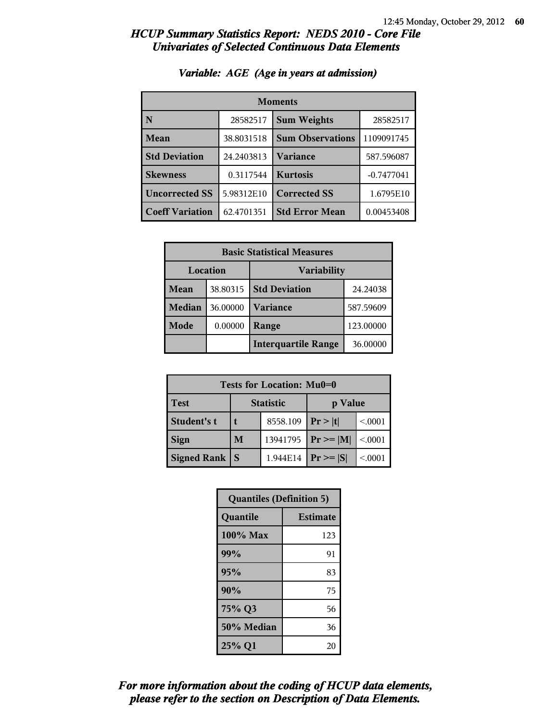| <b>Moments</b>         |            |                         |              |
|------------------------|------------|-------------------------|--------------|
| N                      | 28582517   | <b>Sum Weights</b>      | 28582517     |
| <b>Mean</b>            | 38.8031518 | <b>Sum Observations</b> | 1109091745   |
| <b>Std Deviation</b>   | 24.2403813 | <b>Variance</b>         | 587.596087   |
| <b>Skewness</b>        | 0.3117544  | <b>Kurtosis</b>         | $-0.7477041$ |
| <b>Uncorrected SS</b>  | 5.98312E10 | <b>Corrected SS</b>     | 1.6795E10    |
| <b>Coeff Variation</b> | 62.4701351 | <b>Std Error Mean</b>   | 0.00453408   |

## *Variable: AGE (Age in years at admission)*

| <b>Basic Statistical Measures</b> |          |                            |           |  |
|-----------------------------------|----------|----------------------------|-----------|--|
|                                   | Location | <b>Variability</b>         |           |  |
| Mean                              | 38.80315 | <b>Std Deviation</b>       | 24.24038  |  |
| <b>Median</b>                     | 36.00000 | <b>Variance</b>            | 587.59609 |  |
| Mode                              | 0.00000  | Range                      | 123.00000 |  |
|                                   |          | <b>Interquartile Range</b> | 36.00000  |  |

| Tests for Location: Mu0=0 |                             |          |               |         |  |
|---------------------------|-----------------------------|----------|---------------|---------|--|
| <b>Test</b>               | <b>Statistic</b><br>p Value |          |               |         |  |
| Student's t               | 8558.109                    |          | Pr >  t       | < 0.001 |  |
| <b>Sign</b>               | M                           | 13941795 | $Pr \geq  M $ | < 0.001 |  |
| <b>Signed Rank</b>        |                             | 1.944E14 | $Pr \geq  S $ | < 0001  |  |

| <b>Quantiles (Definition 5)</b> |                 |  |
|---------------------------------|-----------------|--|
| Quantile                        | <b>Estimate</b> |  |
| 100% Max                        | 123             |  |
| 99%                             | 91              |  |
| 95%                             | 83              |  |
| 90%                             | 75              |  |
| 75% Q3                          | 56              |  |
| 50% Median                      | 36              |  |
| 25% Q1                          | 20              |  |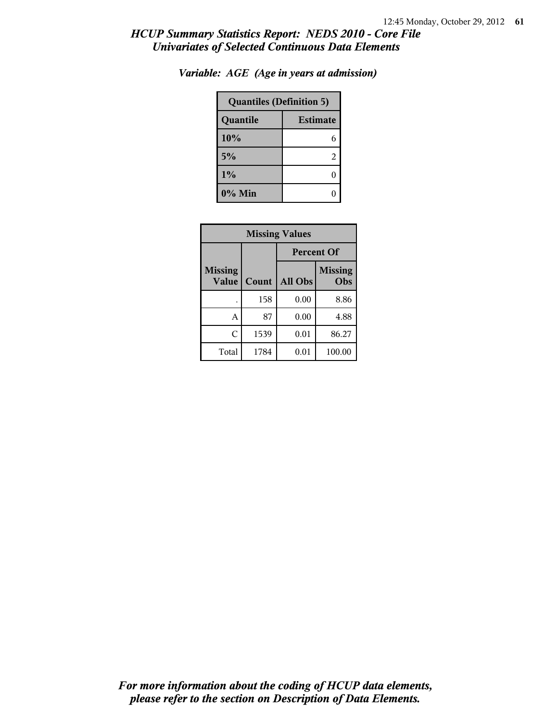| <b>Quantiles (Definition 5)</b> |   |  |
|---------------------------------|---|--|
| <b>Estimate</b><br>Quantile     |   |  |
| 10%                             | 6 |  |
| 5%                              | 2 |  |
| 1%                              |   |  |
| $0\%$ Min                       |   |  |

*Variable: AGE (Age in years at admission)*

| <b>Missing Values</b>   |       |                   |                       |
|-------------------------|-------|-------------------|-----------------------|
|                         |       | <b>Percent Of</b> |                       |
| <b>Missing</b><br>Value | Count | All Obs           | <b>Missing</b><br>Obs |
|                         | 158   | 0.00              | 8.86                  |
| А                       | 87    | 0.00              | 4.88                  |
| C                       | 1539  | 0.01              | 86.27                 |
| Total                   | 1784  | 0.01              | 100.00                |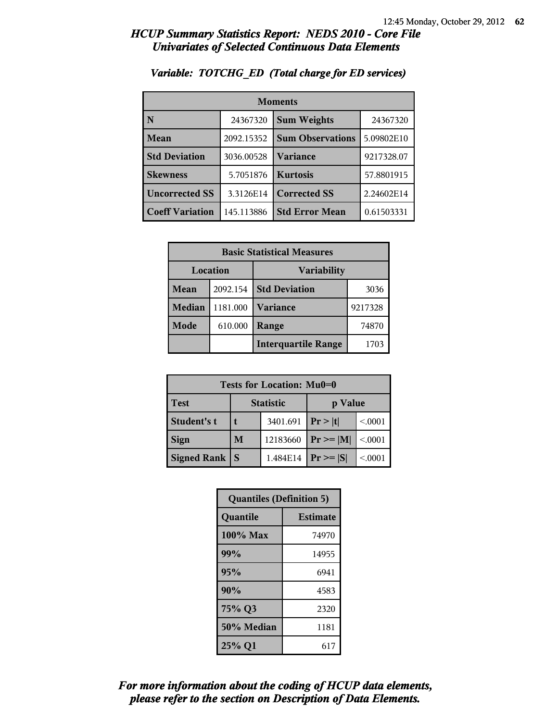| <b>Moments</b>         |            |                         |            |
|------------------------|------------|-------------------------|------------|
| N                      | 24367320   | <b>Sum Weights</b>      | 24367320   |
| Mean                   | 2092.15352 | <b>Sum Observations</b> | 5.09802E10 |
| <b>Std Deviation</b>   | 3036.00528 | Variance                | 9217328.07 |
| <b>Skewness</b>        | 5.7051876  | <b>Kurtosis</b>         | 57.8801915 |
| <b>Uncorrected SS</b>  | 3.3126E14  | <b>Corrected SS</b>     | 2.24602E14 |
| <b>Coeff Variation</b> | 145.113886 | <b>Std Error Mean</b>   | 0.61503331 |

### *Variable: TOTCHG\_ED (Total charge for ED services)*

| <b>Basic Statistical Measures</b> |          |                            |         |  |
|-----------------------------------|----------|----------------------------|---------|--|
| Location                          |          | Variability                |         |  |
| Mean                              | 2092.154 | <b>Std Deviation</b>       | 3036    |  |
| <b>Median</b>                     | 1181.000 | <b>Variance</b>            | 9217328 |  |
| <b>Mode</b>                       | 610.000  | Range                      | 74870   |  |
|                                   |          | <b>Interquartile Range</b> | 1703    |  |

| Tests for Location: Mu0=0 |                  |          |                |         |  |
|---------------------------|------------------|----------|----------------|---------|--|
| <b>Test</b>               | <b>Statistic</b> |          | p Value        |         |  |
| Student's t               |                  | 3401.691 | Pr >  t        | < 0.001 |  |
| <b>Sign</b>               | M                | 12183660 | $Pr \ge =  M $ | < 0.001 |  |
| <b>Signed Rank</b>        |                  | 1.484E14 | $Pr \geq  S $  | < 0001  |  |

| <b>Quantiles (Definition 5)</b> |                 |  |
|---------------------------------|-----------------|--|
| Quantile                        | <b>Estimate</b> |  |
| $100\%$ Max                     | 74970           |  |
| 99%                             | 14955           |  |
| 95%                             | 6941            |  |
| 90%                             | 4583            |  |
| 75% Q3                          | 2320            |  |
| 50% Median                      | 1181            |  |
| 25% Q1                          | 617             |  |